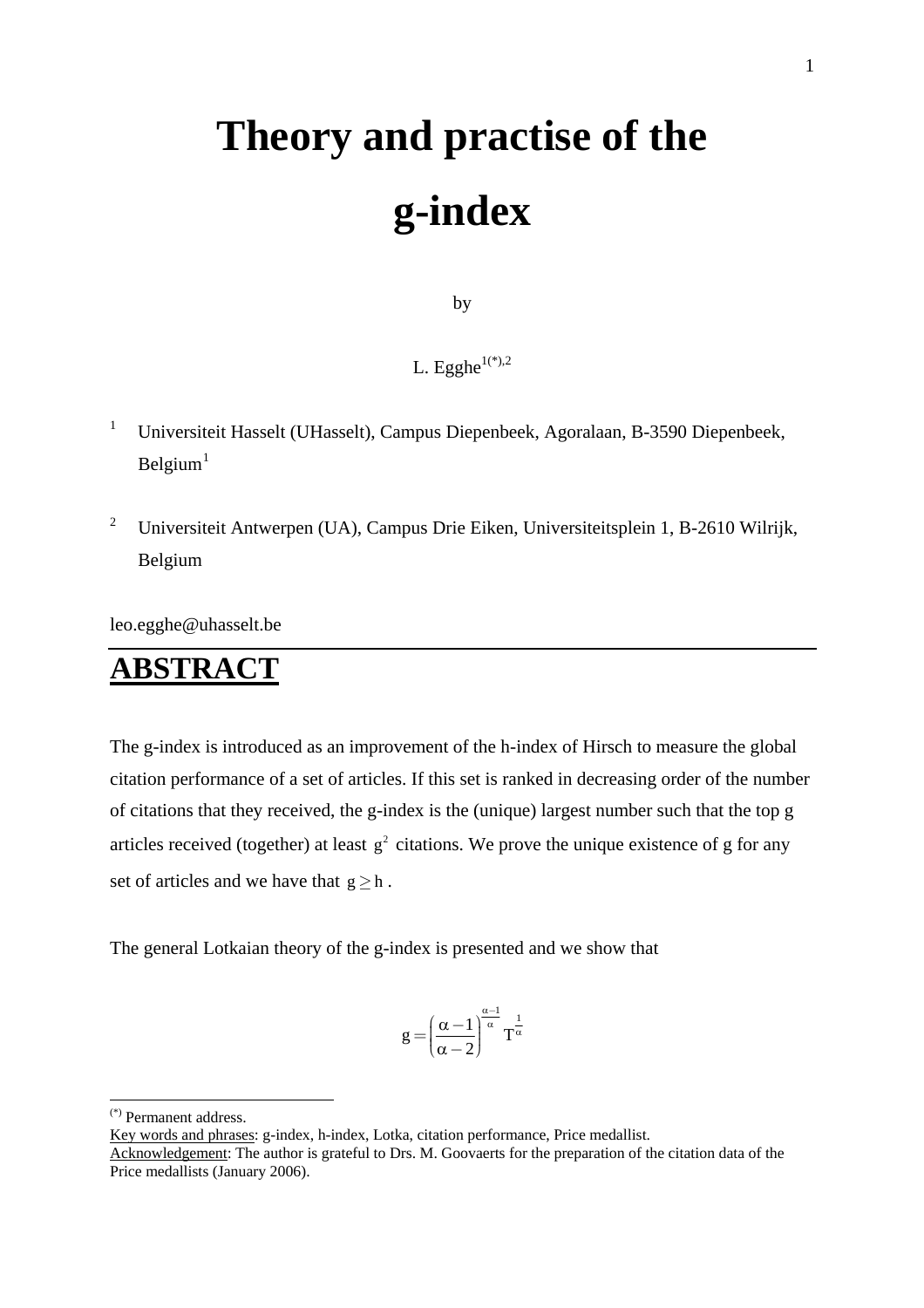# **Theory and practise of the g-index**

by

L. Egghe $1^{(*)}$ ,2

- 1 Universiteit Hasselt (UHasselt), Campus Diepenbeek, Agoralaan, B-3590 Diepenbeek,  $Belgium<sup>1</sup>$  $Belgium<sup>1</sup>$  $Belgium<sup>1</sup>$
- <sup>2</sup> Universiteit Antwerpen (UA), Campus Drie Eiken, Universiteitsplein 1, B-2610 Wilrijk, Belgium

leo.egghe@uhasselt.be

## **ABSTRACT**

The g-index is introduced as an improvement of the h-index of Hirsch to measure the global citation performance of a set of articles. If this set is ranked in decreasing order of the number of citations that they received, the g-index is the (unique) largest number such that the top g articles received (together) at least  $g^2$  citations. We prove the unique existence of g for any set of articles and we have that  $g \geq h$ .

The general Lotkaian theory of the g-index is presented and we show that

$$
g\!=\!\!\left(\!\frac{\alpha\!-\!1}{\alpha\!-\!2}\!\right)^{\!\frac{\alpha\!-\!1}{\alpha}}T^{\frac{1}{\alpha}}
$$

<span id="page-0-0"></span>(\*) Permanent address.

1

Key words and phrases: g-index, h-index, Lotka, citation performance, Price medallist.

Acknowledgement: The author is grateful to Drs. M. Goovaerts for the preparation of the citation data of the Price medallists (January 2006).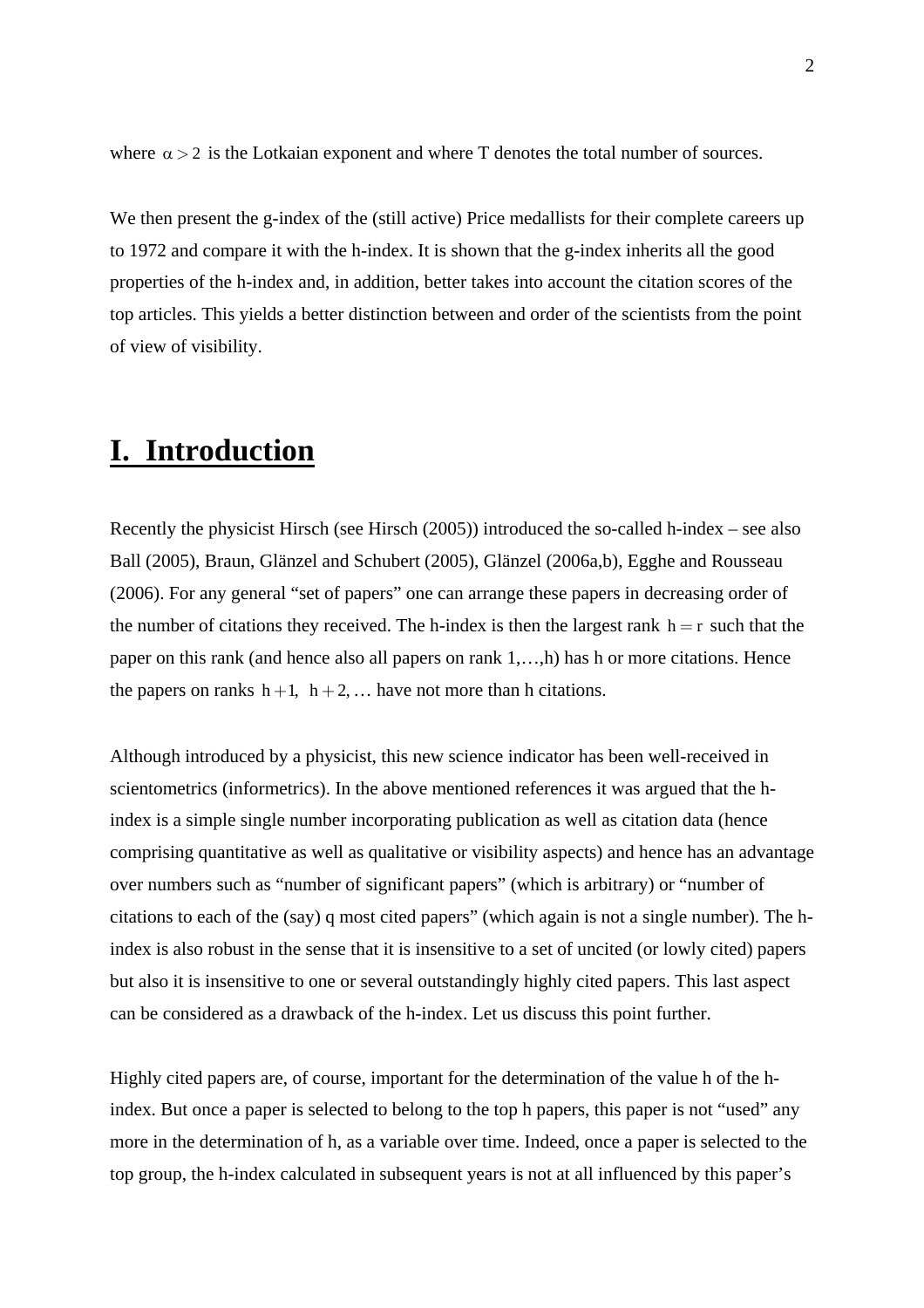where  $\alpha > 2$  is the Lotkaian exponent and where T denotes the total number of sources.

We then present the g-index of the (still active) Price medallists for their complete careers up to 1972 and compare it with the h-index. It is shown that the g-index inherits all the good properties of the h-index and, in addition, better takes into account the citation scores of the top articles. This yields a better distinction between and order of the scientists from the point of view of visibility.

## **I. Introduction**

Recently the physicist Hirsch (see Hirsch (2005)) introduced the so-called h-index – see also Ball (2005), Braun, Glänzel and Schubert (2005), Glänzel (2006a,b), Egghe and Rousseau (2006). For any general "set of papers" one can arrange these papers in decreasing order of the number of citations they received. The h-index is then the largest rank  $h = r$  such that the paper on this rank (and hence also all papers on rank 1,…,h) has h or more citations. Hence the papers on ranks  $h+1$ ,  $h+2$ , ... have not more than h citations.

Although introduced by a physicist, this new science indicator has been well-received in scientometrics (informetrics). In the above mentioned references it was argued that the hindex is a simple single number incorporating publication as well as citation data (hence comprising quantitative as well as qualitative or visibility aspects) and hence has an advantage over numbers such as "number of significant papers" (which is arbitrary) or "number of citations to each of the (say) q most cited papers" (which again is not a single number). The hindex is also robust in the sense that it is insensitive to a set of uncited (or lowly cited) papers but also it is insensitive to one or several outstandingly highly cited papers. This last aspect can be considered as a drawback of the h-index. Let us discuss this point further.

Highly cited papers are, of course, important for the determination of the value h of the hindex. But once a paper is selected to belong to the top h papers, this paper is not "used" any more in the determination of h, as a variable over time. Indeed, once a paper is selected to the top group, the h-index calculated in subsequent years is not at all influenced by this paper's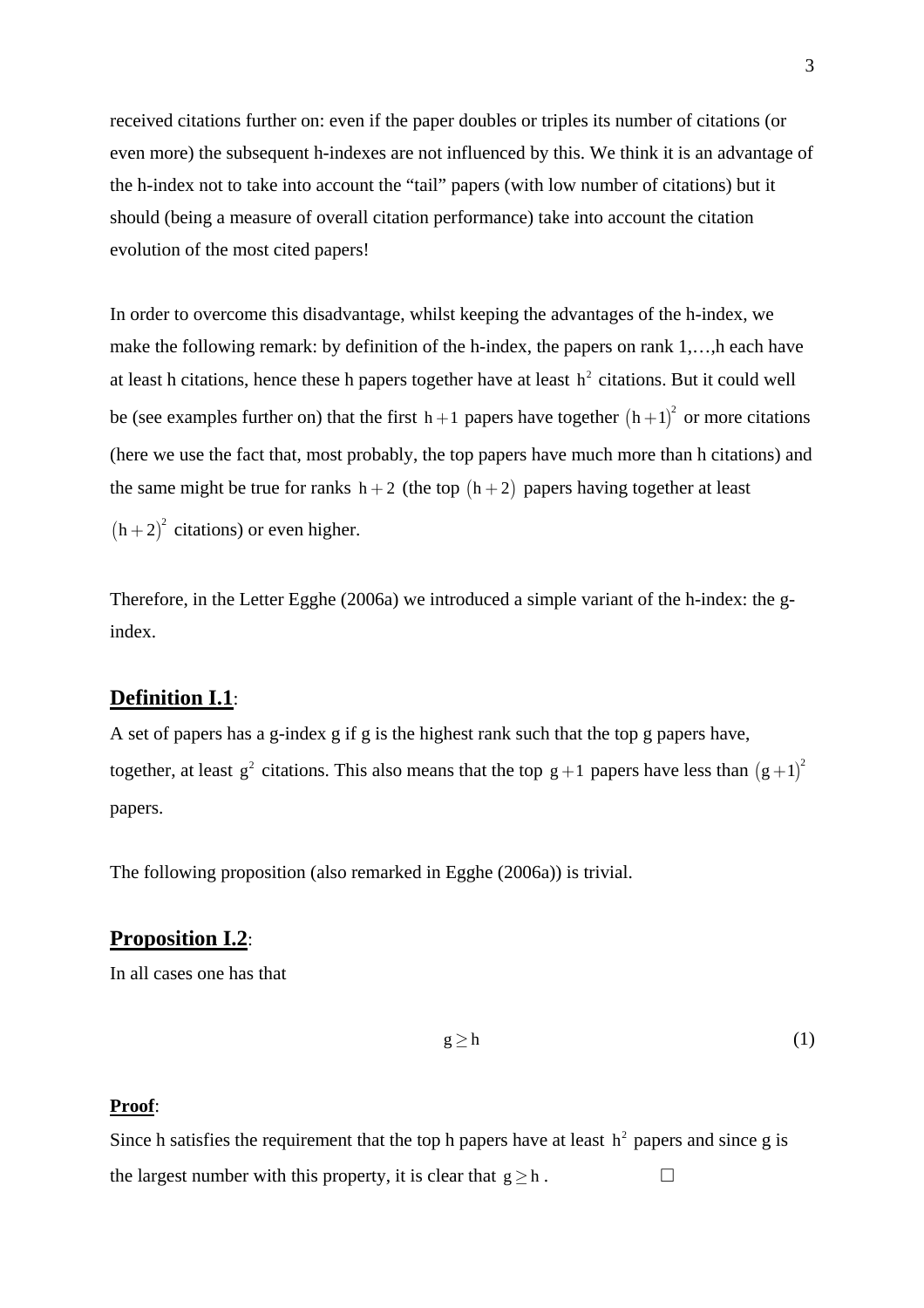received citations further on: even if the paper doubles or triples its number of citations (or even more) the subsequent h-indexes are not influenced by this. We think it is an advantage of the h-index not to take into account the "tail" papers (with low number of citations) but it should (being a measure of overall citation performance) take into account the citation evolution of the most cited papers!

In order to overcome this disadvantage, whilst keeping the advantages of the h-index, we make the following remark: by definition of the h-index, the papers on rank 1,…,h each have at least h citations, hence these h papers together have at least  $h^2$  citations. But it could well be (see examples further on) that the first  $h+1$  papers have together  $(h+1)^2$  or more citations (here we use the fact that, most probably, the top papers have much more than h citations) and the same might be true for ranks  $h + 2$  (the top  $(h + 2)$  papers having together at least  $(h+2)^2$  citations) or even higher.

Therefore, in the Letter Egghe (2006a) we introduced a simple variant of the h-index: the gindex.

#### **Definition I.1**:

A set of papers has a g-index g if g is the highest rank such that the top g papers have, together, at least  $g^2$  citations. This also means that the top  $g+1$  papers have less than  $(g+1)^2$ papers.

The following proposition (also remarked in Egghe (2006a)) is trivial.

#### **Proposition I.2**:

In all cases one has that

$$
g \ge h \tag{1}
$$

#### **Proof**:

Since h satisfies the requirement that the top h papers have at least  $h^2$  papers and since g is the largest number with this property, it is clear that  $g \ge h$ .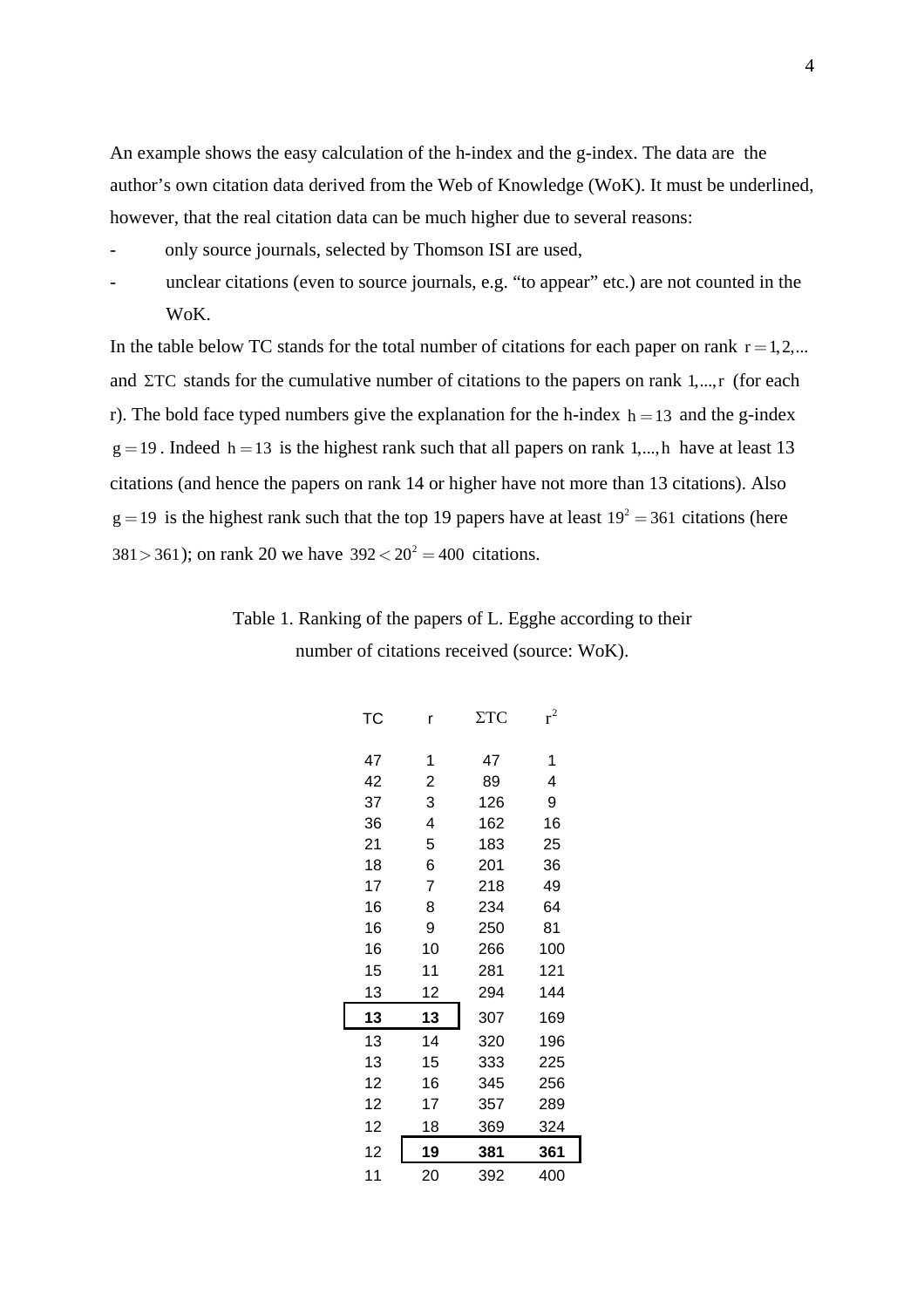An example shows the easy calculation of the h-index and the g-index. The data are the author's own citation data derived from the Web of Knowledge (WoK). It must be underlined, however, that the real citation data can be much higher due to several reasons:

- only source journals, selected by Thomson ISI are used,
- unclear citations (even to source journals, e.g. "to appear" etc.) are not counted in the WoK.

In the table below TC stands for the total number of citations for each paper on rank  $r = 1, 2, ...$ and  $\Sigma$ TC stands for the cumulative number of citations to the papers on rank 1,...,r (for each r). The bold face typed numbers give the explanation for the h-index  $h = 13$  and the g-index  $g = 19$ . Indeed  $h = 13$  is the highest rank such that all papers on rank 1,...,h have at least 13 citations (and hence the papers on rank 14 or higher have not more than 13 citations). Also  $g = 19$  is the highest rank such that the top 19 papers have at least  $19^2 = 361$  citations (here  $381 > 361$ ); on rank 20 we have  $392 < 20^2 = 400$  citations.

## Table 1. Ranking of the papers of L. Egghe according to their number of citations received (source: WoK).

| ТC | r              | $\Sigma$ TC | $r^2$ |
|----|----------------|-------------|-------|
|    |                |             |       |
| 47 | 1              | 47          | 1     |
| 42 | $\overline{2}$ | 89          | 4     |
| 37 | 3              | 126         | 9     |
| 36 | 4              | 162         | 16    |
| 21 | 5              | 183         | 25    |
| 18 | 6              | 201         | 36    |
| 17 | 7              | 218         | 49    |
| 16 | 8              | 234         | 64    |
| 16 | 9              | 250         | 81    |
| 16 | 10             | 266         | 100   |
| 15 | 11             | 281         | 121   |
| 13 | 12             | 294         | 144   |
| 13 | 13             | 307         | 169   |
| 13 | 14             | 320         | 196   |
| 13 | 15             | 333         | 225   |
| 12 | 16             | 345         | 256   |
| 12 | 17             | 357         | 289   |
| 12 | 18             | 369         | 324   |
| 12 | 19             | 381         | 361   |
| 11 | 20             | 392         | 400   |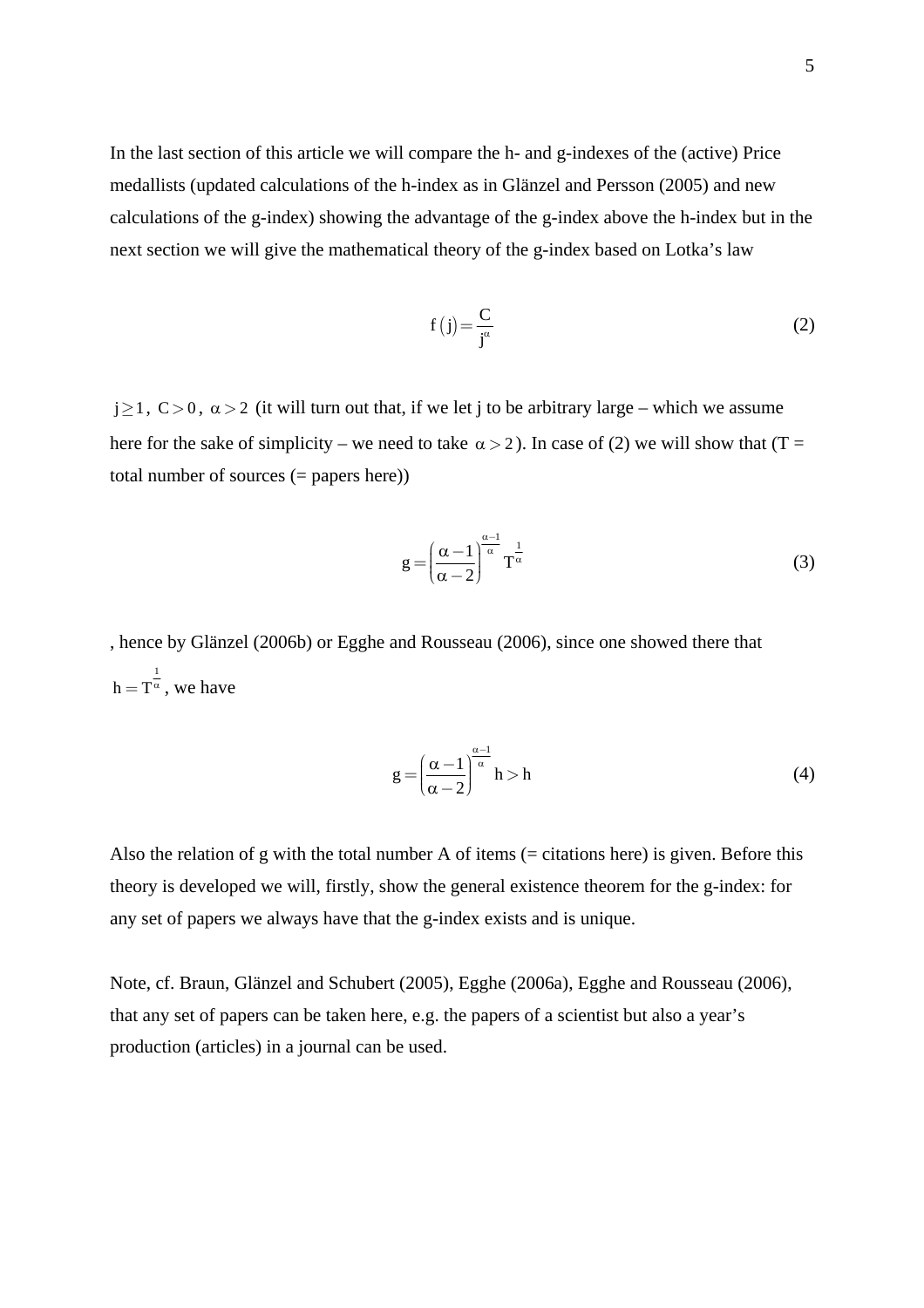In the last section of this article we will compare the h- and g-indexes of the (active) Price medallists (updated calculations of the h-index as in Glänzel and Persson (2005) and new calculations of the g-index) showing the advantage of the g-index above the h-index but in the next section we will give the mathematical theory of the g-index based on Lotka's law

$$
f(j) = \frac{C}{j^{\alpha}}
$$
 (2)

 $j \ge 1$ ,  $C > 0$ ,  $\alpha > 2$  (it will turn out that, if we let j to be arbitrary large – which we assume here for the sake of simplicity – we need to take  $\alpha > 2$ ). In case of (2) we will show that (T = total number of sources (= papers here))

$$
g = \left(\frac{\alpha - 1}{\alpha - 2}\right)^{\frac{\alpha - 1}{\alpha}} T^{\frac{1}{\alpha}}
$$
 (3)

, hence by Glänzel (2006b) or Egghe and Rousseau (2006), since one showed there that  $h = T^{\frac{1}{\alpha}}$ , we have

$$
g = \left(\frac{\alpha - 1}{\alpha - 2}\right)^{\frac{\alpha - 1}{\alpha}} h > h
$$
 (4)

Also the relation of g with the total number A of items (= citations here) is given. Before this theory is developed we will, firstly, show the general existence theorem for the g-index: for any set of papers we always have that the g-index exists and is unique.

Note, cf. Braun, Glänzel and Schubert (2005), Egghe (2006a), Egghe and Rousseau (2006), that any set of papers can be taken here, e.g. the papers of a scientist but also a year's production (articles) in a journal can be used.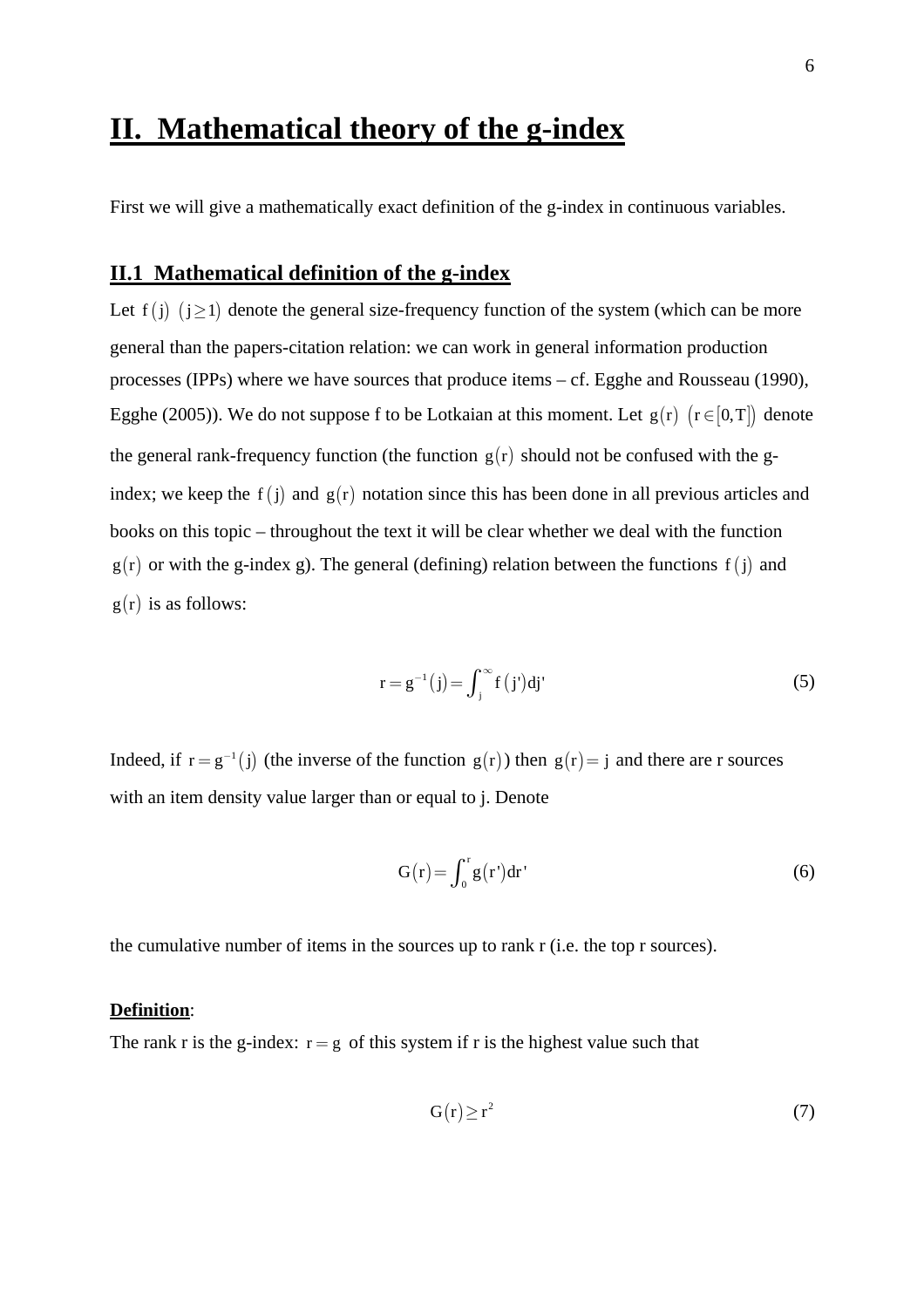## **II. Mathematical theory of the g-index**

First we will give a mathematically exact definition of the g-index in continuous variables.

#### **II.1 Mathematical definition of the g-index**

Let  $f(j)$   $(j \ge 1)$  denote the general size-frequency function of the system (which can be more general than the papers-citation relation: we can work in general information production processes (IPPs) where we have sources that produce items – cf. Egghe and Rousseau (1990), Egghe (2005)). We do not suppose f to be Lotkaian at this moment. Let  $g(r)$   $(r \in [0, T])$  denote the general rank-frequency function (the function  $g(r)$  should not be confused with the gindex; we keep the  $f(j)$  and  $g(r)$  notation since this has been done in all previous articles and books on this topic – throughout the text it will be clear whether we deal with the function  $g(r)$  or with the g-index g). The general (defining) relation between the functions  $f(j)$  and  $g(r)$  is as follows:

$$
r = g^{-1}(j) = \int_{j}^{\infty} f(j')dj'
$$
 (5)

Indeed, if  $r = g^{-1}(j)$  (the inverse of the function  $g(r)$ ) then  $g(r) = j$  and there are r sources with an item density value larger than or equal to j. Denote

$$
G(r) = \int_0^r g(r') dr'
$$
 (6)

the cumulative number of items in the sources up to rank r (i.e. the top r sources).

#### **Definition**:

The rank r is the g-index:  $r = g$  of this system if r is the highest value such that

$$
G(r) \ge r^2 \tag{7}
$$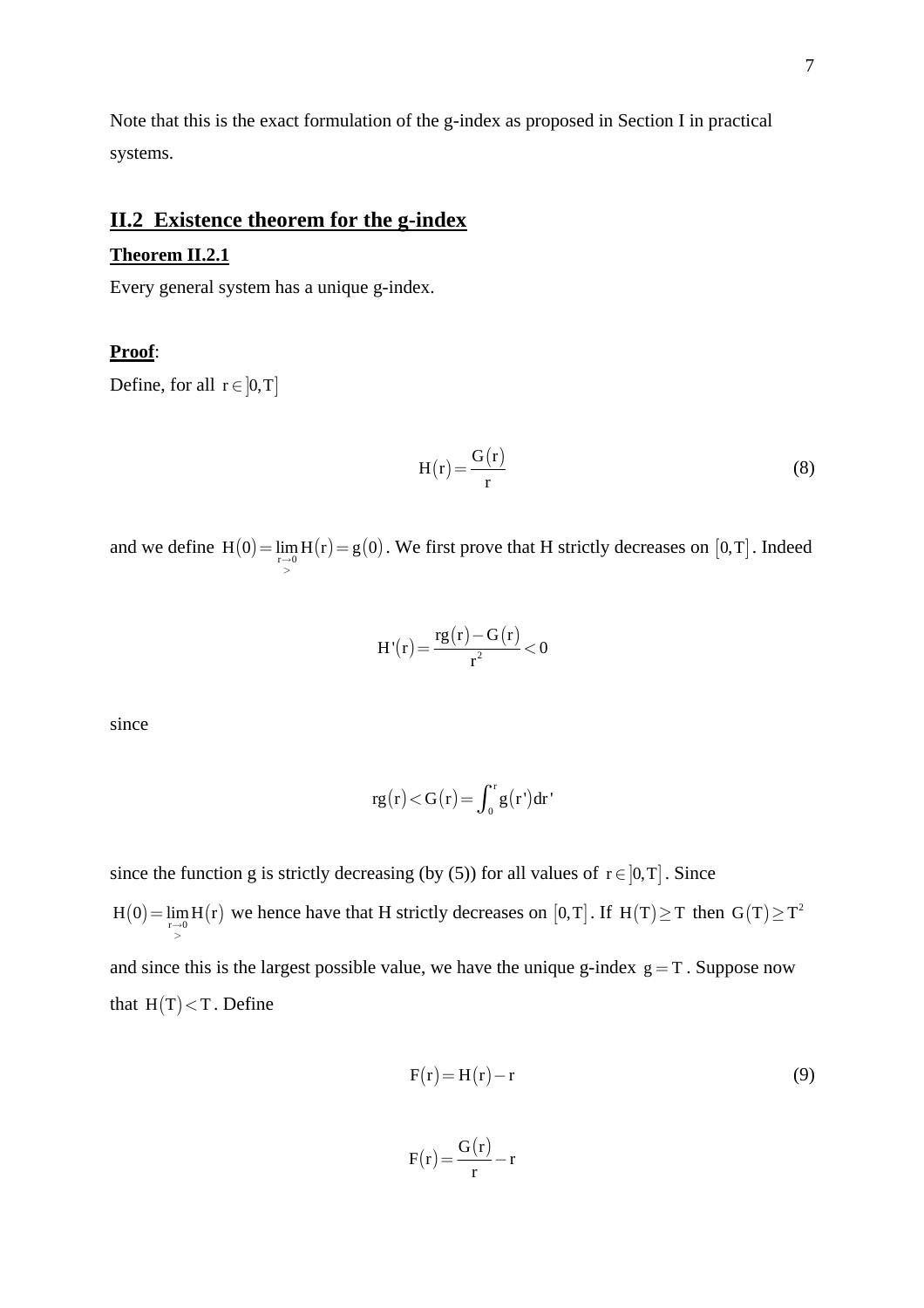Note that this is the exact formulation of the g-index as proposed in Section I in practical systems.

#### **II.2 Existence theorem for the g-index**

#### **Theorem II.2.1**

Every general system has a unique g-index.

#### **Proof**:

Define, for all  $r \in ]0,T]$ 

$$
H(r) = \frac{G(r)}{r}
$$
 (8)

and we define  $H(0) = \lim_{\substack{r \to 0 \\ r}} H(r) = g(0)$ . We first prove that H strictly decreases on [0,T]. Indeed  $=$  lim H(r) = g(0). We first prove that H strictly decreases on [0,T]

$$
H'(r) = \frac{rg(r) - G(r)}{r^2} < 0
$$

since

$$
rg(r) < G(r) = \int_0^r g(r') dr'
$$

since the function g is strictly decreasing (by (5)) for all values of  $r \in [0, T]$ . Since  $H(0) = \lim_{\substack{r \to 0 \\ r}} H(r)$  we hence have that H strictly decreases on [0,T]. If  $H(T) \geq T$  then and since this is the largest possible value, we have the unique g-index  $g = T$ . Suppose now that  $H(T) < T$ . Define  $=$  lim H(r) we hence have that H strictly decreases on [0,T]. If H(T)  $\geq$  T then G(T)  $\geq$  T<sup>2</sup>

$$
F(r) = H(r) - r \tag{9}
$$

$$
F(r) = \frac{G(r)}{r} - r
$$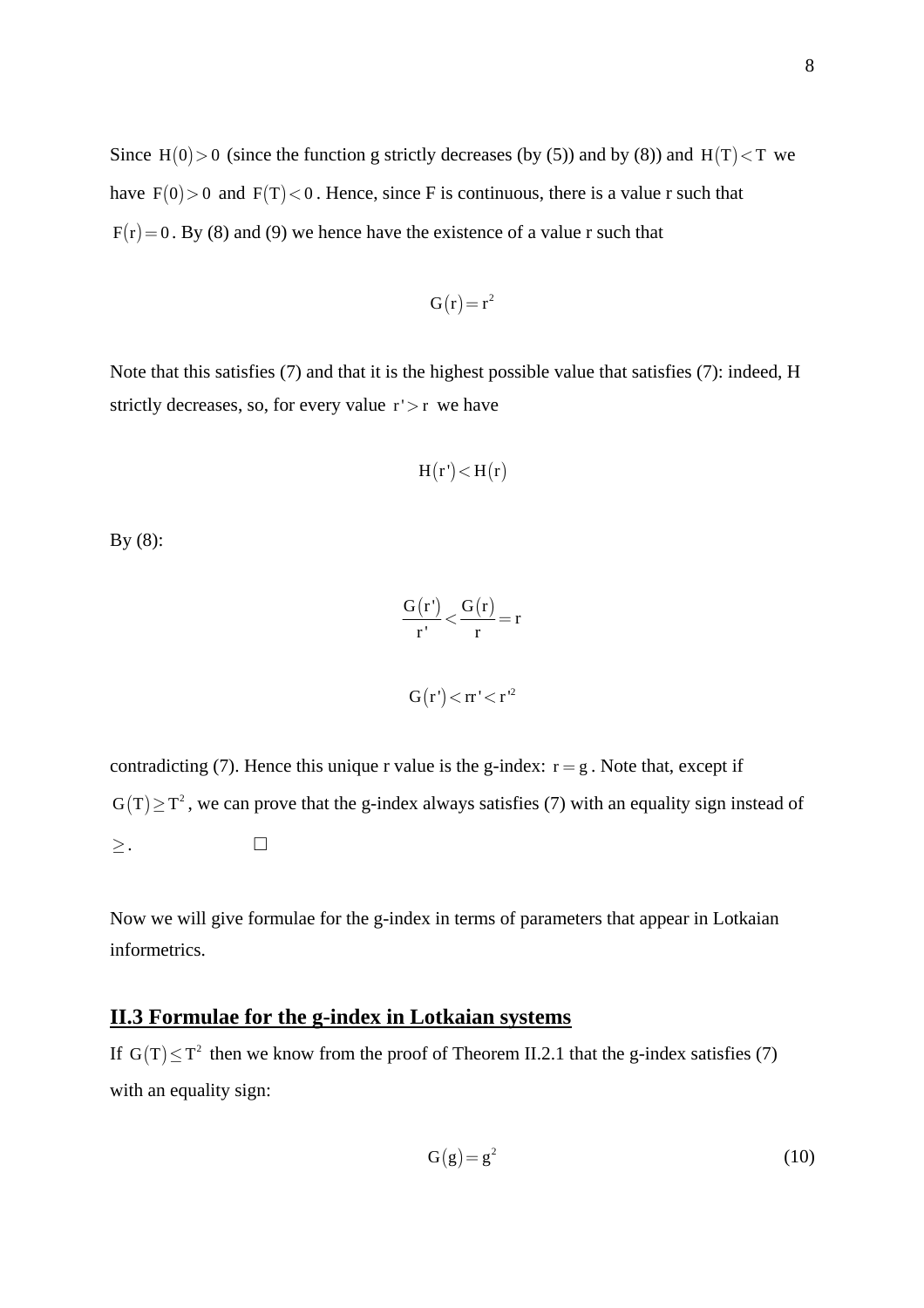Since  $H(0) > 0$  (since the function g strictly decreases (by (5)) and by (8)) and  $H(T) < T$  we have  $F(0) > 0$  and  $F(T) < 0$ . Hence, since F is continuous, there is a value r such that  $F(r) = 0$ . By (8) and (9) we hence have the existence of a value r such that

$$
G(r) = r^2
$$

Note that this satisfies (7) and that it is the highest possible value that satisfies (7): indeed, H strictly decreases, so, for every value  $r'$  r we have

$$
H(r')\!<\!H(r)
$$

By (8):

$$
\frac{G(r')}{r'} < \frac{G(r)}{r} = r
$$

$$
G(r') < rr' < r'^2
$$

contradicting (7). Hence this unique r value is the g-index:  $r = g$ . Note that, except if  $G(T) \geq T^2$ , we can prove that the g-index always satisfies (7) with an equality sign instead of  $\Box$  $\geq$ .

Now we will give formulae for the g-index in terms of parameters that appear in Lotkaian informetrics.

## **II.3 Formulae for the g-index in Lotkaian systems**

If  $G(T) \le T^2$  then we know from the proof of Theorem II.2.1 that the g-index satisfies (7) with an equality sign:

$$
G(g) = g^2 \tag{10}
$$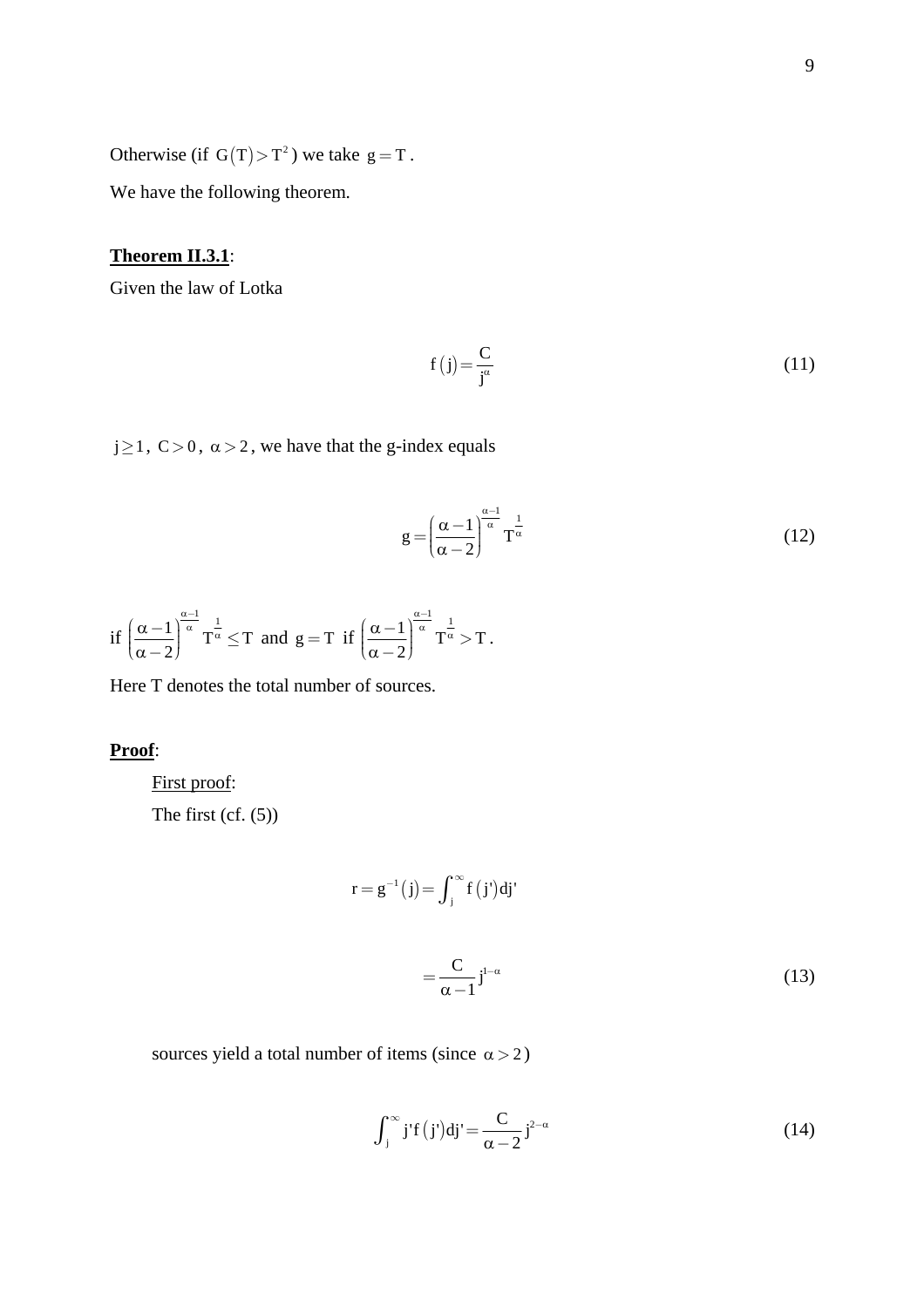Otherwise (if  $G(T) > T^2$ ) we take  $g = T$ .

We have the following theorem.

### **Theorem II.3.1**:

Given the law of Lotka

$$
f(j) = \frac{C}{j^{\alpha}}
$$
 (11)

j  $\geq$  1, C > 0,  $\alpha$  > 2, we have that the g-index equals

$$
g = \left(\frac{\alpha - 1}{\alpha - 2}\right)^{\frac{\alpha - 1}{\alpha}} T^{\frac{1}{\alpha}}
$$
 (12)

$$
if\ \left(\frac{\alpha-1}{\alpha-2}\right)^{\frac{\alpha-1}{\alpha}}T^{\frac{1}{\alpha}}\leq T\ \ and\ \ g=T\ \ if\ \left(\frac{\alpha-1}{\alpha-2}\right)^{\frac{\alpha-1}{\alpha}}T^{\frac{1}{\alpha}} > T\ .
$$

Here T denotes the total number of sources.

#### **Proof**:

### First proof:

The first (cf. (5))

$$
r = g^{-1}(j) = \int_{j}^{\infty} f(j')dj'
$$

$$
= \frac{C}{\alpha - 1} j^{1-\alpha}
$$
(13)

sources yield a total number of items (since  $\alpha$  > 2)

$$
\int_{j}^{\infty} j'f(j')dj' = \frac{C}{\alpha - 2} j^{2-\alpha}
$$
 (14)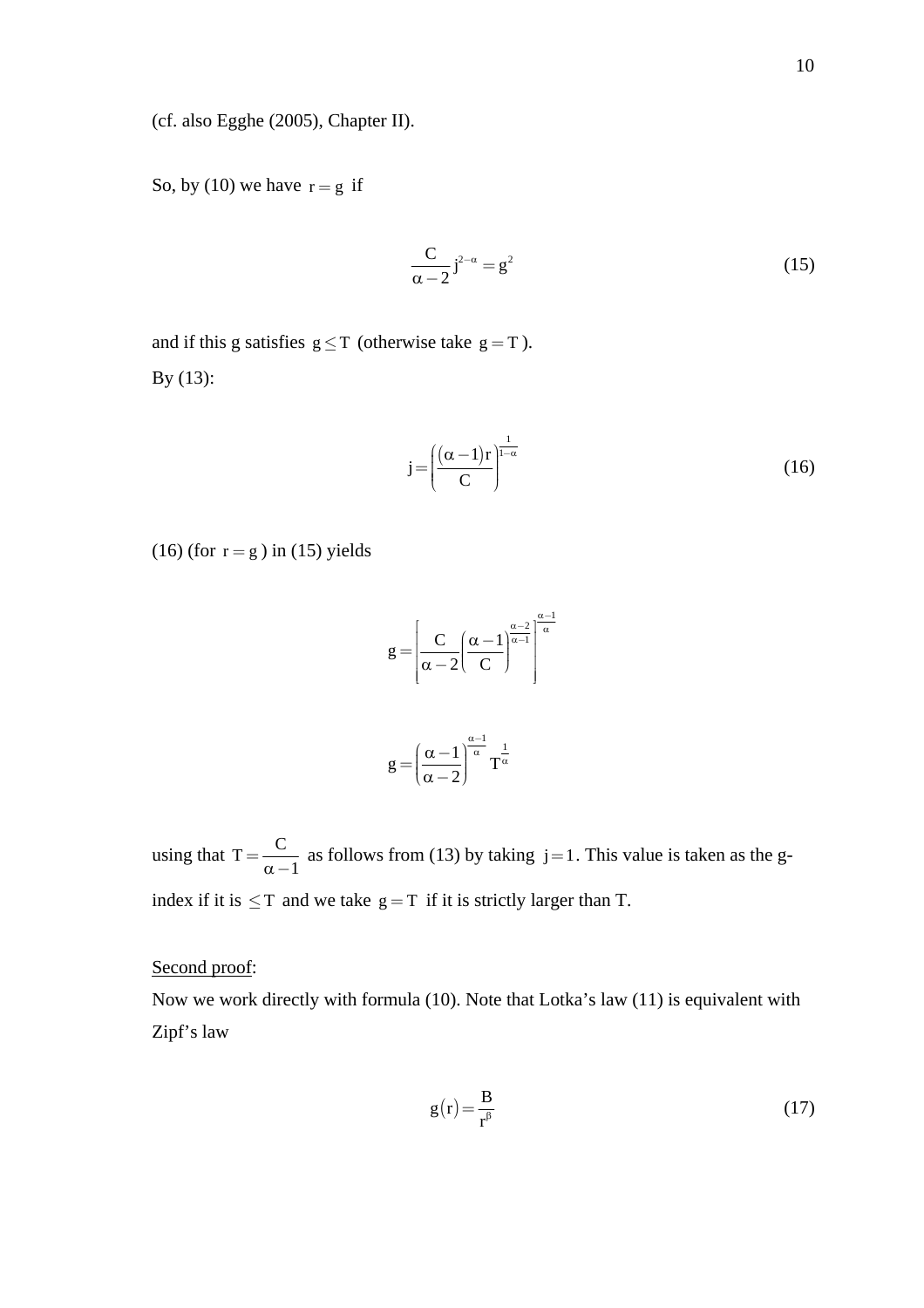(cf. also Egghe (2005), Chapter II).

So, by (10) we have  $r = g$  if

$$
\frac{C}{\alpha - 2} j^{2-\alpha} = g^2 \tag{15}
$$

and if this g satisfies  $g \leq T$  (otherwise take  $g = T$ ). By (13):

$$
j = \left(\frac{(\alpha - 1)r}{C}\right)^{\frac{1}{1 - \alpha}}
$$
 (16)

(16) (for  $r = g$ ) in (15) yields

$$
g = \left[\frac{C}{\alpha - 2} \left(\frac{\alpha - 1}{C}\right)^{\frac{\alpha - 2}{\alpha - 1}}\right]^{\frac{\alpha - 1}{\alpha}}
$$

$$
g = \left(\frac{\alpha - 1}{\alpha - 2}\right)^{\frac{\alpha - 1}{\alpha}} T^{\frac{1}{\alpha}}
$$

α

 $\left(\frac{\alpha}{\alpha-2}\right)$ 

using that  $T = \frac{C}{\alpha - 1}$  as follows from (13) by taking  $j = 1$ . This value is taken as the gindex if it is  $\leq$ T and we take  $g = T$  if it is strictly larger than T.

#### Second proof:

Now we work directly with formula (10). Note that Lotka's law (11) is equivalent with Zipf's law

$$
g(r) = \frac{B}{r^{\beta}}
$$
 (17)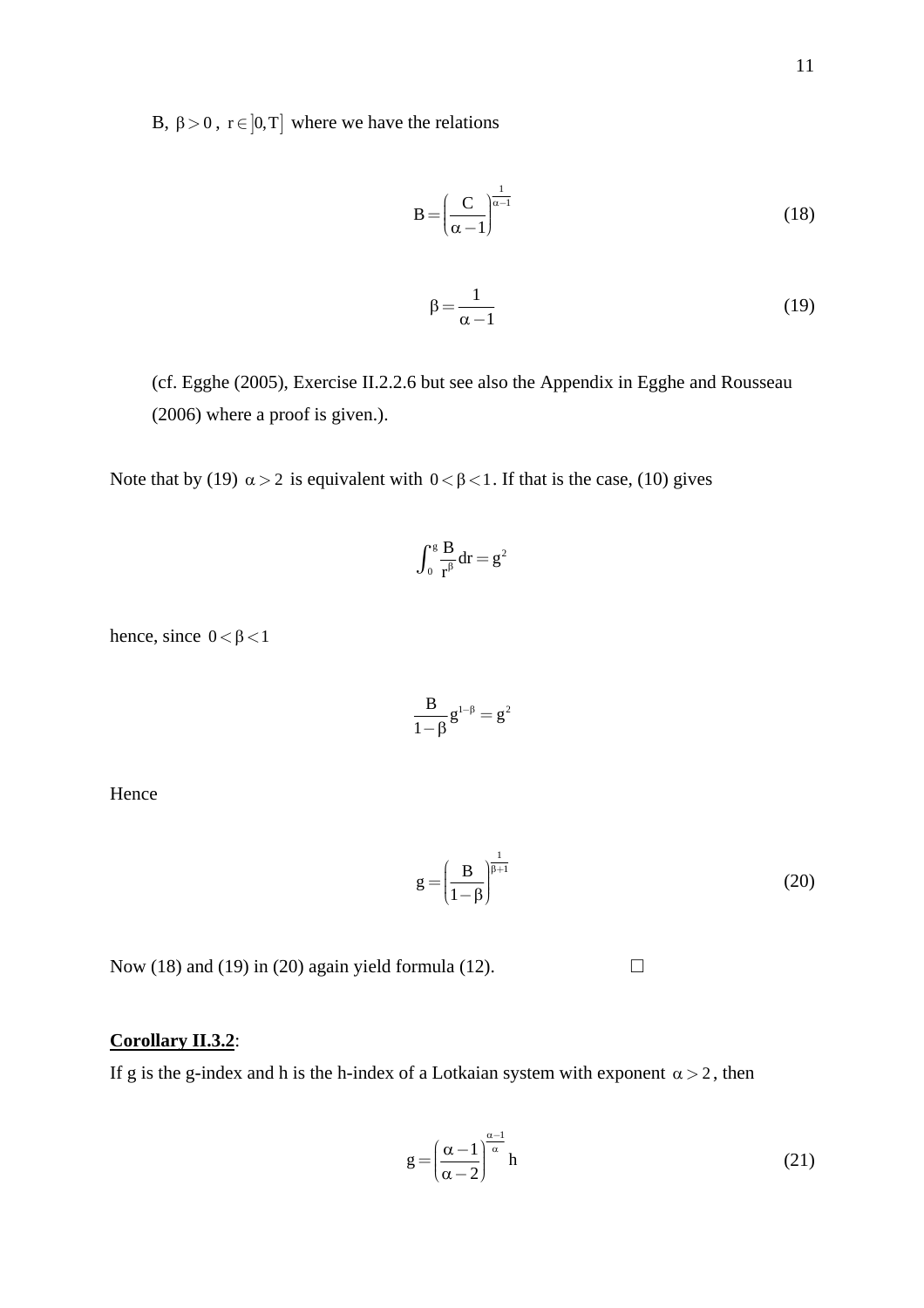B,  $β > 0$ ,  $r ∈ [0,T]$  where we have the relations

$$
B = \left(\frac{C}{\alpha - 1}\right)^{\frac{1}{\alpha - 1}}
$$
 (18)

$$
\beta = \frac{1}{\alpha - 1} \tag{19}
$$

(cf. Egghe (2005), Exercise II.2.2.6 but see also the Appendix in Egghe and Rousseau (2006) where a proof is given.).

Note that by (19)  $\alpha > 2$  is equivalent with  $0 < \beta < 1$ . If that is the case, (10) gives

$$
\int_0^g \frac{B}{r^\beta} dr = g^2
$$

hence, since  $0 < \beta < 1$ 

$$
\frac{B}{1-\beta}g^{1-\beta}=g^2
$$

Hence

$$
g = \left(\frac{B}{1-\beta}\right)^{\frac{1}{\beta+1}}
$$
\n(20)

Now (18) and (19) in (20) again yield formula (12).  $\Box$ 

#### **Corollary II.3.2**:

If g is the g-index and h is the h-index of a Lotkaian system with exponent  $\alpha > 2$ , then

$$
g = \left(\frac{\alpha - 1}{\alpha - 2}\right)^{\frac{\alpha - 1}{\alpha}} h
$$
 (21)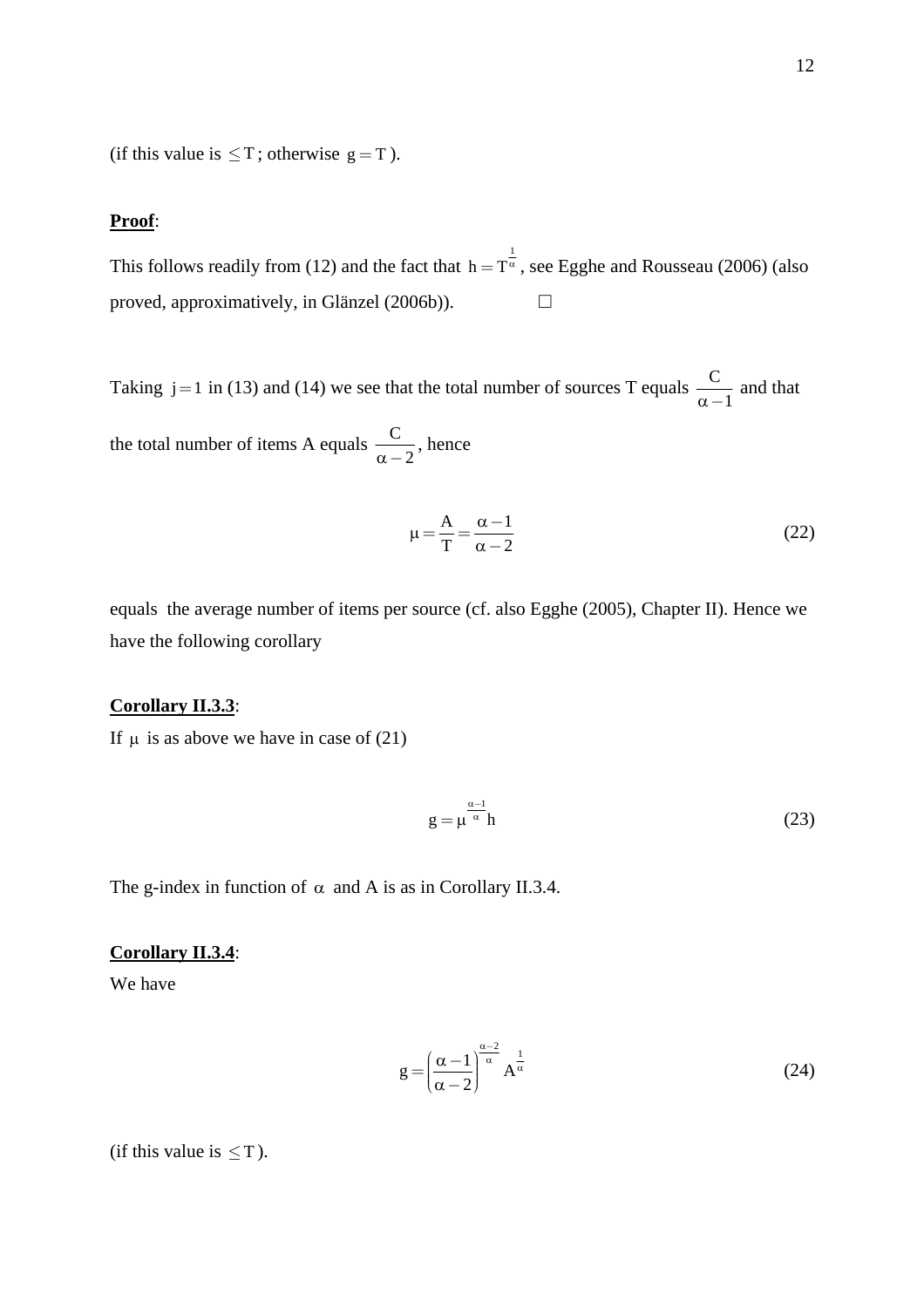(if this value is  $\leq$  T; otherwise  $g = T$ ).

#### **Proof**:

This follows readily from (12) and the fact that  $h = T^{\frac{1}{\alpha}}$ , see Egghe and Rousseau (2006) (also proved, approximatively, in Glänzel (2006b)).  $\Box$ 

Taking j = 1 in (13) and (14) we see that the total number of sources T equals  $\frac{C}{C}$  $\alpha-1$ and that

the total number of items A equals  $\frac{C}{C}$  $\alpha-2$ , hence

$$
\mu = \frac{A}{T} = \frac{\alpha - 1}{\alpha - 2} \tag{22}
$$

equals the average number of items per source (cf. also Egghe (2005), Chapter II). Hence we have the following corollary

#### **Corollary II.3.3**:

If  $\mu$  is as above we have in case of (21)

$$
g = \mu^{\frac{\alpha - 1}{\alpha}} h \tag{23}
$$

The g-index in function of  $\alpha$  and A is as in Corollary II.3.4.

#### **Corollary II.3.4**:

We have

$$
g = \left(\frac{\alpha - 1}{\alpha - 2}\right)^{\frac{\alpha - 2}{\alpha}} A^{\frac{1}{\alpha}}
$$
 (24)

(if this value is  $\leq$  T).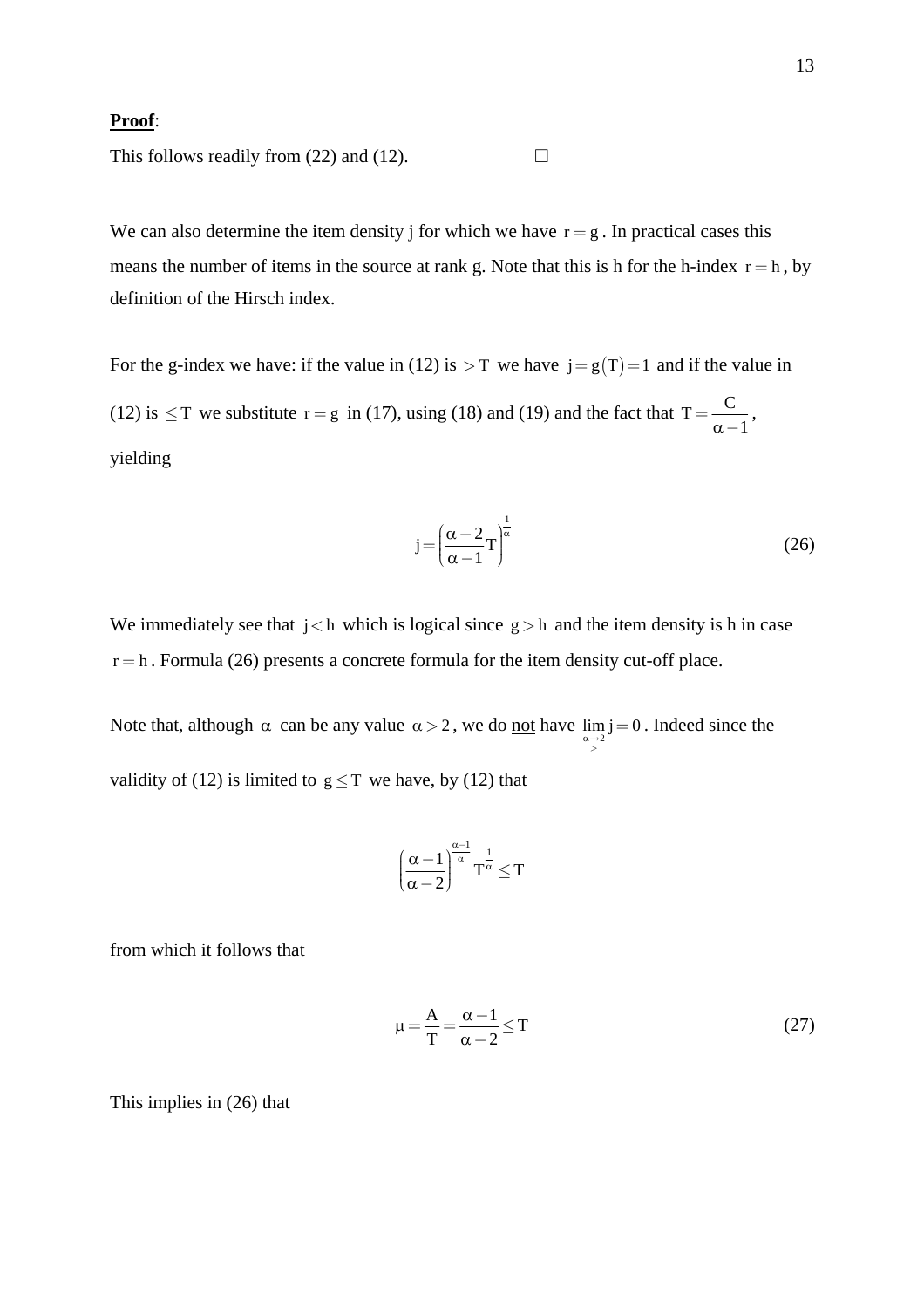#### **Proof**:

This follows readily from (22) and (12).  $\Box$ 

We can also determine the item density j for which we have  $r = g$ . In practical cases this means the number of items in the source at rank g. Note that this is h for the h-index  $r = h$ , by definition of the Hirsch index.

For the g-index we have: if the value in (12) is  $>$  T we have  $j = g(T) = 1$  and if the value in (12) is  $\leq$  T we substitute  $r = g$  in (17), using (18) and (19) and the fact that  $T = \frac{C}{\alpha - 1}$ , yielding

$$
j = \left(\frac{\alpha - 2}{\alpha - 1}T\right)^{\frac{1}{\alpha}}
$$
 (26)

We immediately see that  $j \lt h$  which is logical since  $g > h$  and the item density is h in case  $r = h$ . Formula (26) presents a concrete formula for the item density cut-off place.

Note that, although  $\alpha$  can be any value  $\alpha > 2$ , we do <u>not</u> have  $\lim_{\alpha \to 2} j = 0$ . Indeed since the validity of (12) is limited to  $g \leq T$  we have, by (12) that =

$$
\left(\frac{\alpha-1}{\alpha-2}\right)^{\frac{\alpha-1}{\alpha}}T^{\frac{1}{\alpha}}\leq T
$$

from which it follows that

$$
\mu = \frac{A}{T} = \frac{\alpha - 1}{\alpha - 2} \le T \tag{27}
$$

This implies in (26) that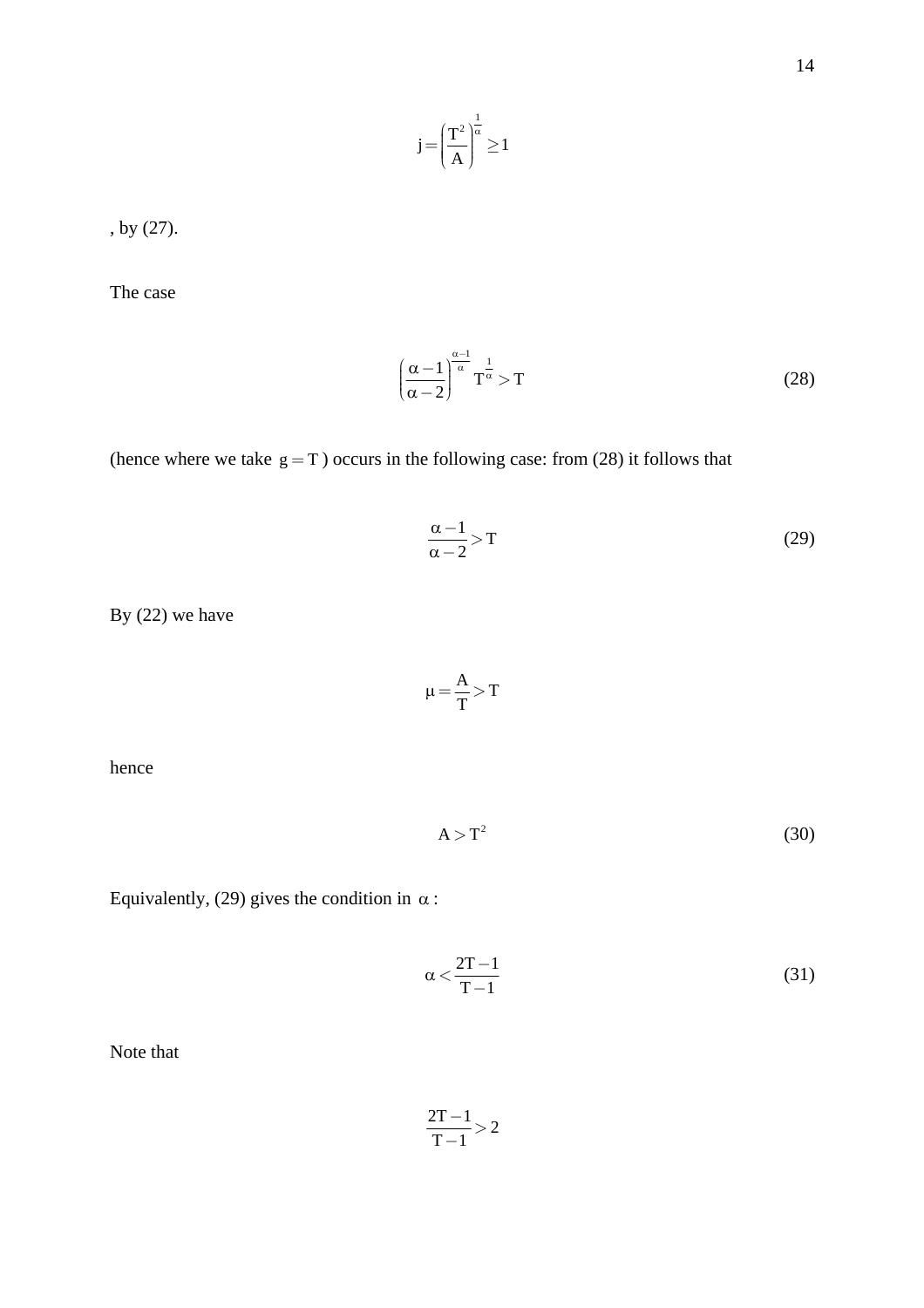$$
j = \left(\frac{T^2}{A}\right)^{\frac{1}{\alpha}} \ge 1
$$

, by (27).

The case

 $\frac{1}{\alpha}$   $\int_{0}^{\frac{\alpha-1}{\alpha}} T^{\frac{1}{\alpha}}$ 

−

2  $\alpha$  – 1  $\sqrt{\frac{\alpha-1}{\alpha}}$   $\frac{1}{\mathbf{T}\alpha}$ 

(hence where we take  $g = T$ ) occurs in the following case: from (28) it follows that

α

$$
\frac{\alpha - 1}{\alpha - 2} > T \tag{29}
$$

 $\left(\frac{\alpha-1}{\alpha-2}\right)^{\frac{1}{\alpha}} \Gamma^{\frac{1}{\alpha}} > T$  (28)

By (22) we have

$$
\mu\!=\!\frac{A}{T}\!>\!T
$$

hence

$$
A > T^2 \tag{30}
$$

Equivalently, (29) gives the condition in  $\alpha$ :

$$
\alpha < \frac{2T - 1}{T - 1} \tag{31}
$$

Note that

$$
\frac{2T-1}{T-1} > 2
$$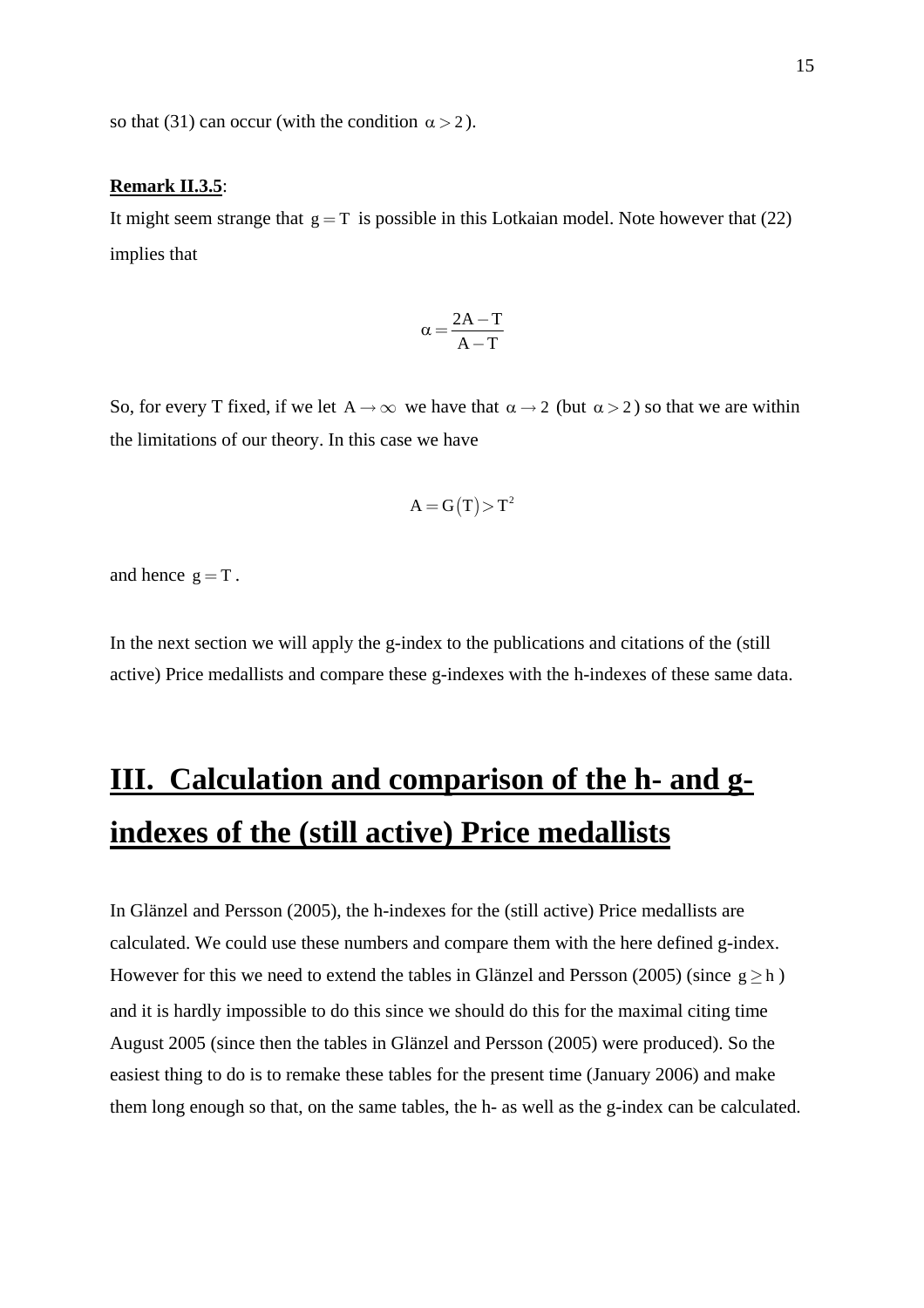so that (31) can occur (with the condition  $\alpha > 2$ ).

#### **Remark II.3.5**:

It might seem strange that  $g = T$  is possible in this Lotkaian model. Note however that (22) implies that

$$
\alpha\,{=}\,\frac{2A\,{-}\,T}{A\,{-}\,T}
$$

So, for every T fixed, if we let  $A \rightarrow \infty$  we have that  $\alpha \rightarrow 2$  (but  $\alpha > 2$ ) so that we are within the limitations of our theory. In this case we have

$$
A = G(T) > T^2
$$

and hence  $g = T$ .

In the next section we will apply the g-index to the publications and citations of the (still active) Price medallists and compare these g-indexes with the h-indexes of these same data.

## **III. Calculation and comparison of the h- and gindexes of the (still active) Price medallists**

In Glänzel and Persson (2005), the h-indexes for the (still active) Price medallists are calculated. We could use these numbers and compare them with the here defined g-index. However for this we need to extend the tables in Glänzel and Persson (2005) (since  $g \ge h$ ) and it is hardly impossible to do this since we should do this for the maximal citing time August 2005 (since then the tables in Glänzel and Persson (2005) were produced). So the easiest thing to do is to remake these tables for the present time (January 2006) and make them long enough so that, on the same tables, the h- as well as the g-index can be calculated.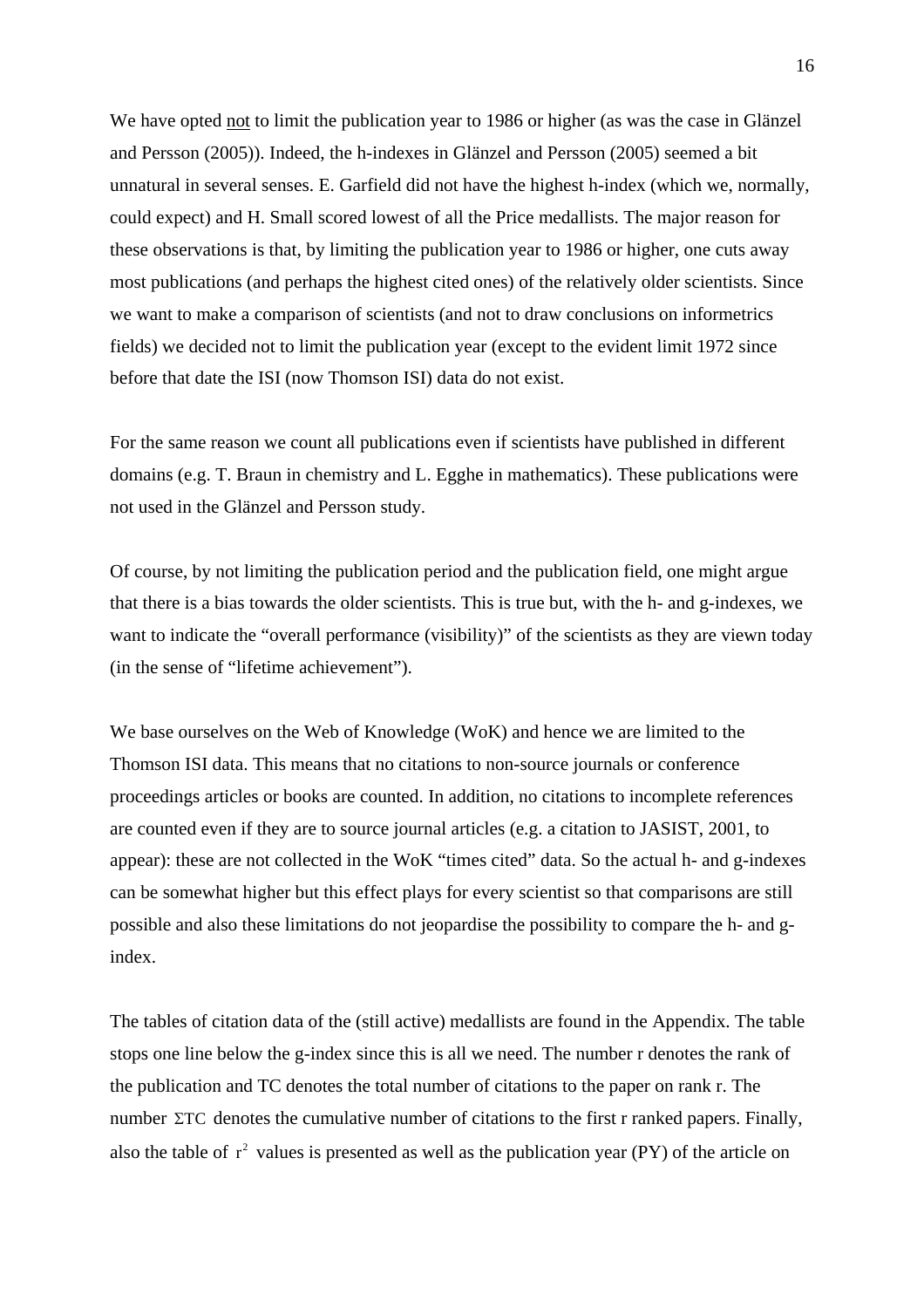We have opted not to limit the publication year to 1986 or higher (as was the case in Glänzel and Persson (2005)). Indeed, the h-indexes in Glänzel and Persson (2005) seemed a bit unnatural in several senses. E. Garfield did not have the highest h-index (which we, normally, could expect) and H. Small scored lowest of all the Price medallists. The major reason for these observations is that, by limiting the publication year to 1986 or higher, one cuts away most publications (and perhaps the highest cited ones) of the relatively older scientists. Since we want to make a comparison of scientists (and not to draw conclusions on informetrics fields) we decided not to limit the publication year (except to the evident limit 1972 since before that date the ISI (now Thomson ISI) data do not exist.

For the same reason we count all publications even if scientists have published in different domains (e.g. T. Braun in chemistry and L. Egghe in mathematics). These publications were not used in the Glänzel and Persson study.

Of course, by not limiting the publication period and the publication field, one might argue that there is a bias towards the older scientists. This is true but, with the h- and g-indexes, we want to indicate the "overall performance (visibility)" of the scientists as they are viewn today (in the sense of "lifetime achievement").

We base ourselves on the Web of Knowledge (WoK) and hence we are limited to the Thomson ISI data. This means that no citations to non-source journals or conference proceedings articles or books are counted. In addition, no citations to incomplete references are counted even if they are to source journal articles (e.g. a citation to JASIST, 2001, to appear): these are not collected in the WoK "times cited" data. So the actual h- and g-indexes can be somewhat higher but this effect plays for every scientist so that comparisons are still possible and also these limitations do not jeopardise the possibility to compare the h- and gindex.

The tables of citation data of the (still active) medallists are found in the Appendix. The table stops one line below the g-index since this is all we need. The number r denotes the rank of the publication and TC denotes the total number of citations to the paper on rank r. The number  $\Sigma$ TC denotes the cumulative number of citations to the first r ranked papers. Finally, also the table of  $r^2$  values is presented as well as the publication year (PY) of the article on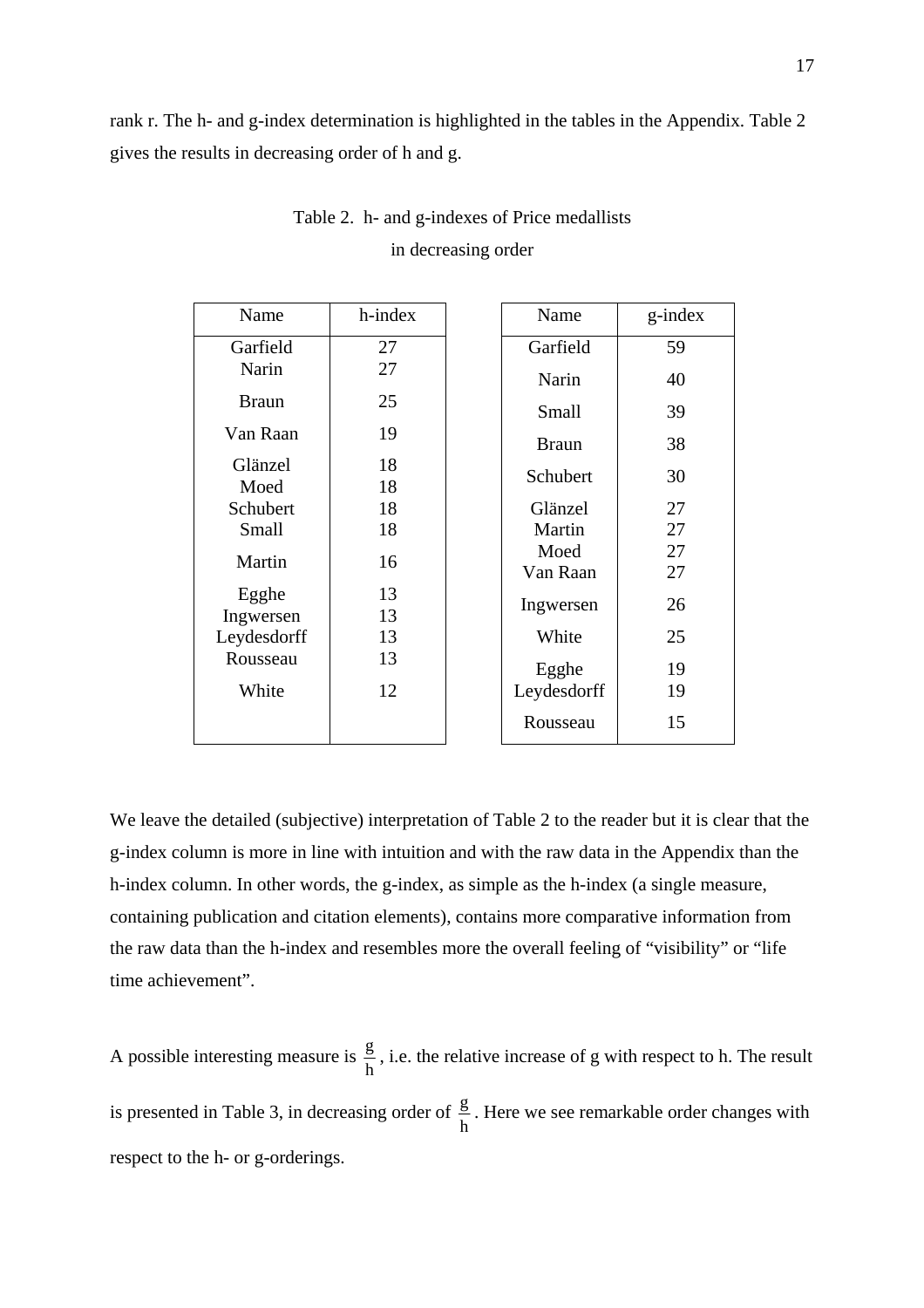rank r. The h- and g-index determination is highlighted in the tables in the Appendix. Table 2 gives the results in decreasing order of h and g.

| Name         | h-index | Name         | g-index |
|--------------|---------|--------------|---------|
| Garfield     | 27      | Garfield     | 59      |
| Narin        | 27      | Narin        | 40      |
| <b>Braun</b> | 25      | Small        | 39      |
| Van Raan     | 19      | <b>Braun</b> | 38      |
| Glänzel      | 18      | Schubert     | 30      |
| Moed         | 18      |              |         |
| Schubert     | 18      | Glänzel      | 27      |
| Small        | 18      | Martin       | 27      |
| Martin       | 16      | Moed         | 27      |
|              |         | Van Raan     | 27      |
| Egghe        | 13      |              | 26      |
| Ingwersen    | 13      | Ingwersen    |         |
| Leydesdorff  | 13      | White        | 25      |
| Rousseau     | 13      | Egghe        | 19      |
| White        | 12      | Leydesdorff  | 19      |
|              |         | Rousseau     | 15      |

## Table 2. h- and g-indexes of Price medallists in decreasing order

We leave the detailed (subjective) interpretation of Table 2 to the reader but it is clear that the g-index column is more in line with intuition and with the raw data in the Appendix than the h-index column. In other words, the g-index, as simple as the h-index (a single measure, containing publication and citation elements), contains more comparative information from the raw data than the h-index and resembles more the overall feeling of "visibility" or "life time achievement".

A possible interesting measure is  $\frac{g}{h}$ , i.e. the relative increase of g with respect to h. The result is presented in Table 3, in decreasing order of  $\frac{g}{h}$ . Here we see remarkable order changes with respect to the h- or g-orderings.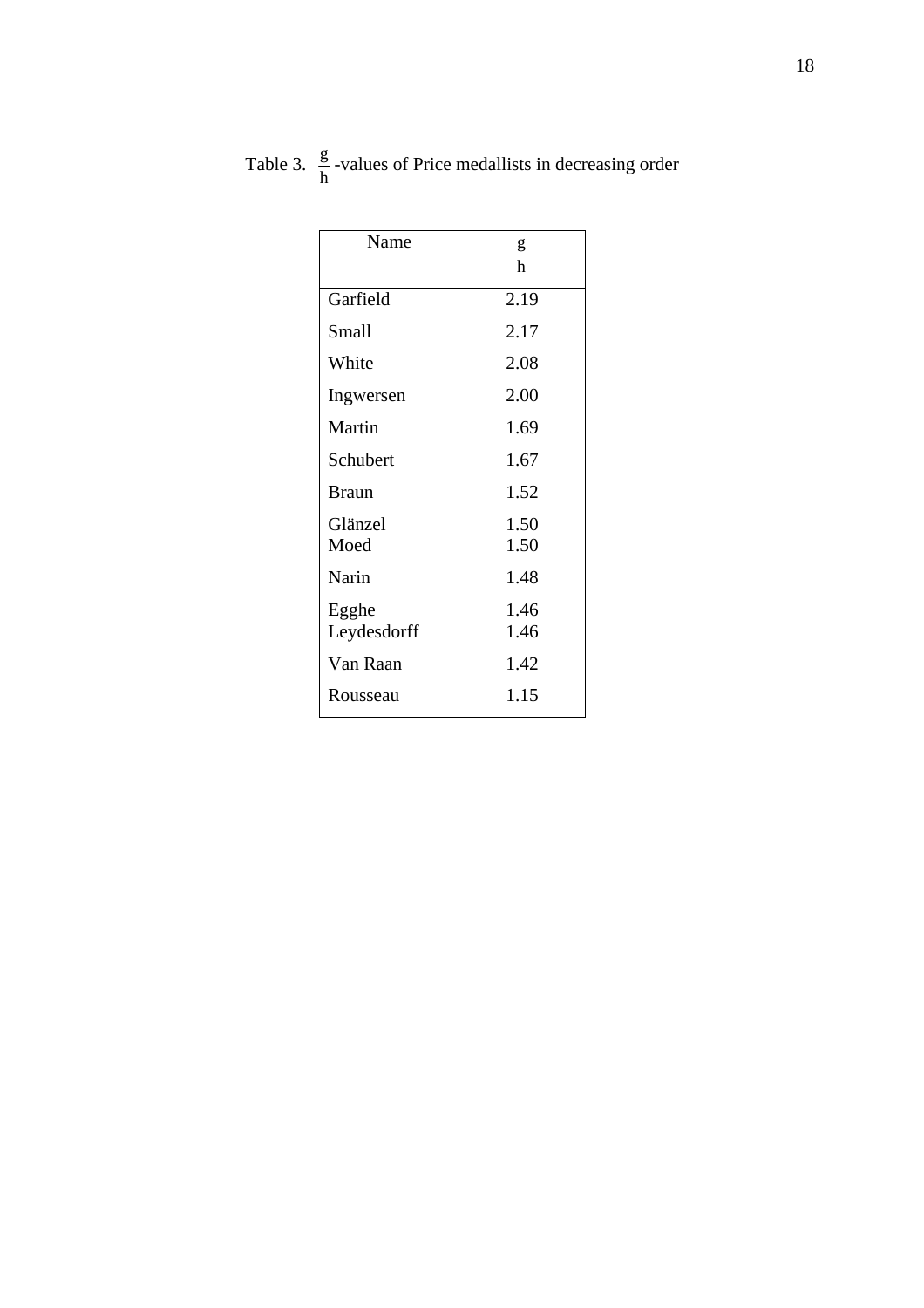| Name                 | $\underline{\underline{g}}$<br>h |
|----------------------|----------------------------------|
| Garfield             | 2.19                             |
| Small                | 2.17                             |
| White                | 2.08                             |
| Ingwersen            | 2.00                             |
| Martin               | 1.69                             |
| Schubert             | 1.67                             |
| <b>Braun</b>         | 1.52                             |
| Glänzel<br>Moed      | 1.50<br>1.50                     |
| Narin                | 1.48                             |
| Egghe<br>Leydesdorff | 1.46<br>1.46                     |
| Van Raan             | 1.42                             |
| Rousseau             | 1.15                             |

Table 3.  $\frac{g}{h}$ -values of Price medallists in decreasing order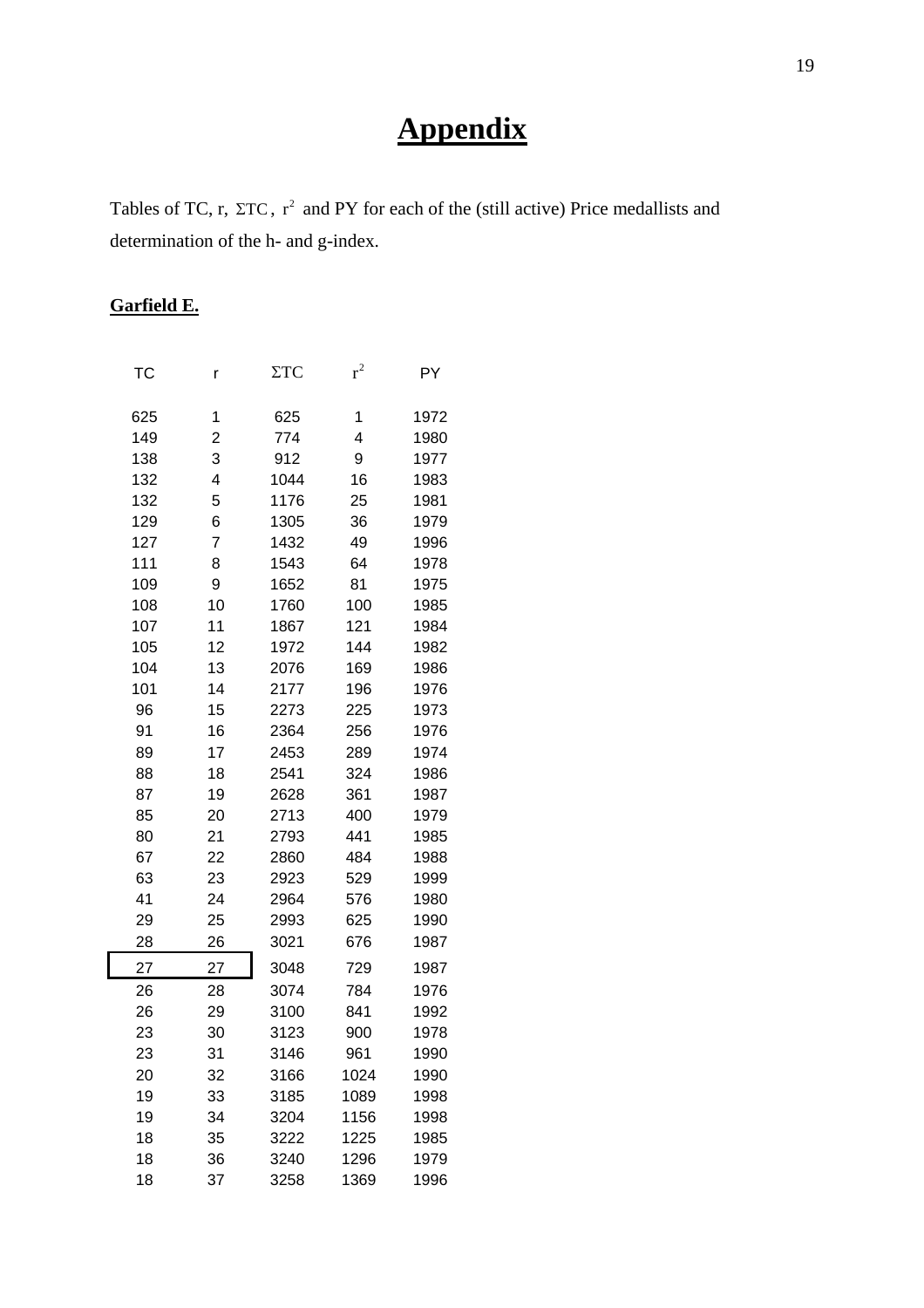## **Appendix**

Tables of TC, r,  $\Sigma$ TC, r<sup>2</sup> and PY for each of the (still active) Price medallists and determination of the h- and g-index.

### **Garfield E.**

| ТC  | r  | $\Sigma$ TC | $r^2$ | PY   |
|-----|----|-------------|-------|------|
| 625 | 1  | 625         | 1     | 1972 |
| 149 | 2  | 774         | 4     | 1980 |
| 138 | 3  | 912         | 9     | 1977 |
| 132 | 4  | 1044        | 16    | 1983 |
| 132 | 5  | 1176        | 25    | 1981 |
| 129 | 6  | 1305        | 36    | 1979 |
| 127 | 7  | 1432        | 49    | 1996 |
| 111 | 8  | 1543        | 64    | 1978 |
| 109 | 9  | 1652        | 81    | 1975 |
| 108 | 10 | 1760        | 100   | 1985 |
| 107 | 11 | 1867        | 121   | 1984 |
| 105 | 12 | 1972        | 144   | 1982 |
| 104 | 13 | 2076        | 169   | 1986 |
| 101 | 14 | 2177        | 196   | 1976 |
| 96  | 15 | 2273        | 225   | 1973 |
| 91  | 16 | 2364        | 256   | 1976 |
| 89  | 17 | 2453        | 289   | 1974 |
| 88  | 18 | 2541        | 324   | 1986 |
| 87  | 19 | 2628        | 361   | 1987 |
| 85  | 20 | 2713        | 400   | 1979 |
| 80  | 21 | 2793        | 441   | 1985 |
| 67  | 22 | 2860        | 484   | 1988 |
| 63  | 23 | 2923        | 529   | 1999 |
| 41  | 24 | 2964        | 576   | 1980 |
| 29  | 25 | 2993        | 625   | 1990 |
| 28  | 26 | 3021        | 676   | 1987 |
| 27  | 27 | 3048        | 729   | 1987 |
| 26  | 28 | 3074        | 784   | 1976 |
| 26  | 29 | 3100        | 841   | 1992 |
| 23  | 30 | 3123        | 900   | 1978 |
| 23  | 31 | 3146        | 961   | 1990 |
| 20  | 32 | 3166        | 1024  | 1990 |
| 19  | 33 | 3185        | 1089  | 1998 |
| 19  | 34 | 3204        | 1156  | 1998 |
| 18  | 35 | 3222        | 1225  | 1985 |
| 18  | 36 | 3240        | 1296  | 1979 |
| 18  | 37 | 3258        | 1369  | 1996 |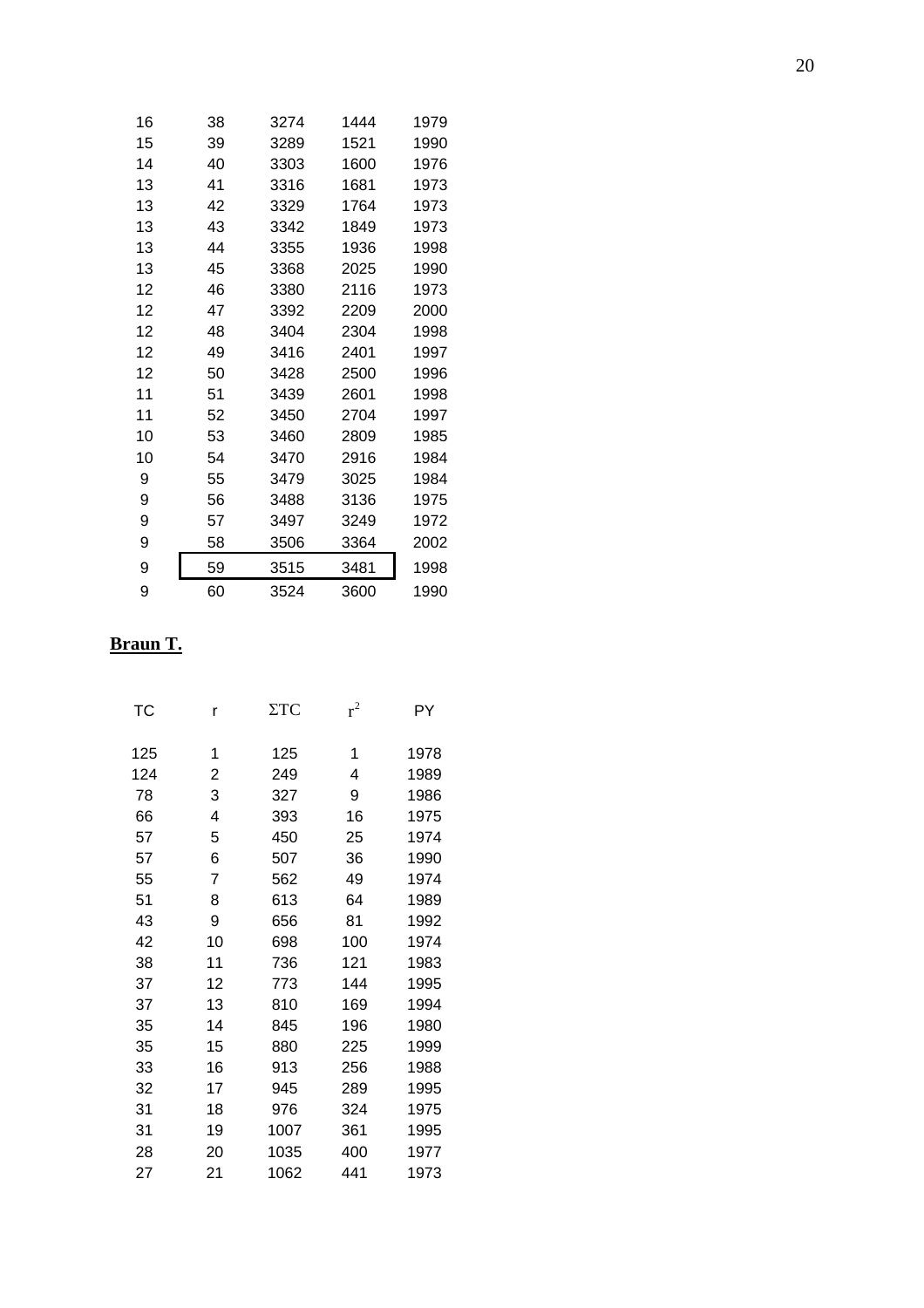| 16 | 38 | 3274 | 1444 | 1979 |
|----|----|------|------|------|
| 15 | 39 | 3289 | 1521 | 1990 |
| 14 | 40 | 3303 | 1600 | 1976 |
| 13 | 41 | 3316 | 1681 | 1973 |
| 13 | 42 | 3329 | 1764 | 1973 |
| 13 | 43 | 3342 | 1849 | 1973 |
| 13 | 44 | 3355 | 1936 | 1998 |
| 13 | 45 | 3368 | 2025 | 1990 |
| 12 | 46 | 3380 | 2116 | 1973 |
| 12 | 47 | 3392 | 2209 | 2000 |
| 12 | 48 | 3404 | 2304 | 1998 |
| 12 | 49 | 3416 | 2401 | 1997 |
| 12 | 50 | 3428 | 2500 | 1996 |
| 11 | 51 | 3439 | 2601 | 1998 |
| 11 | 52 | 3450 | 2704 | 1997 |
| 10 | 53 | 3460 | 2809 | 1985 |
| 10 | 54 | 3470 | 2916 | 1984 |
| 9  | 55 | 3479 | 3025 | 1984 |
| 9  | 56 | 3488 | 3136 | 1975 |
| 9  | 57 | 3497 | 3249 | 1972 |
| 9  | 58 | 3506 | 3364 | 2002 |
| 9  | 59 | 3515 | 3481 | 1998 |
| 9  | 60 | 3524 | 3600 | 1990 |

## **Braun T.**

| <b>TC</b> | r  | $\Sigma$ TC | $r^2$ | PY   |
|-----------|----|-------------|-------|------|
| 125       | 1  | 125         | 1     | 1978 |
| 124       | 2  | 249         | 4     | 1989 |
| 78        | 3  | 327         | 9     | 1986 |
| 66        | 4  | 393         | 16    | 1975 |
| 57        | 5  | 450         | 25    | 1974 |
| 57        | 6  | 507         | 36    | 1990 |
| 55        | 7  | 562         | 49    | 1974 |
| 51        | 8  | 613         | 64    | 1989 |
| 43        | 9  | 656         | 81    | 1992 |
| 42        | 10 | 698         | 100   | 1974 |
| 38        | 11 | 736         | 121   | 1983 |
| 37        | 12 | 773         | 144   | 1995 |
| 37        | 13 | 810         | 169   | 1994 |
| 35        | 14 | 845         | 196   | 1980 |
| 35        | 15 | 880         | 225   | 1999 |
| 33        | 16 | 913         | 256   | 1988 |
| 32        | 17 | 945         | 289   | 1995 |
| 31        | 18 | 976         | 324   | 1975 |
| 31        | 19 | 1007        | 361   | 1995 |
| 28        | 20 | 1035        | 400   | 1977 |
| 27        | 21 | 1062        | 441   | 1973 |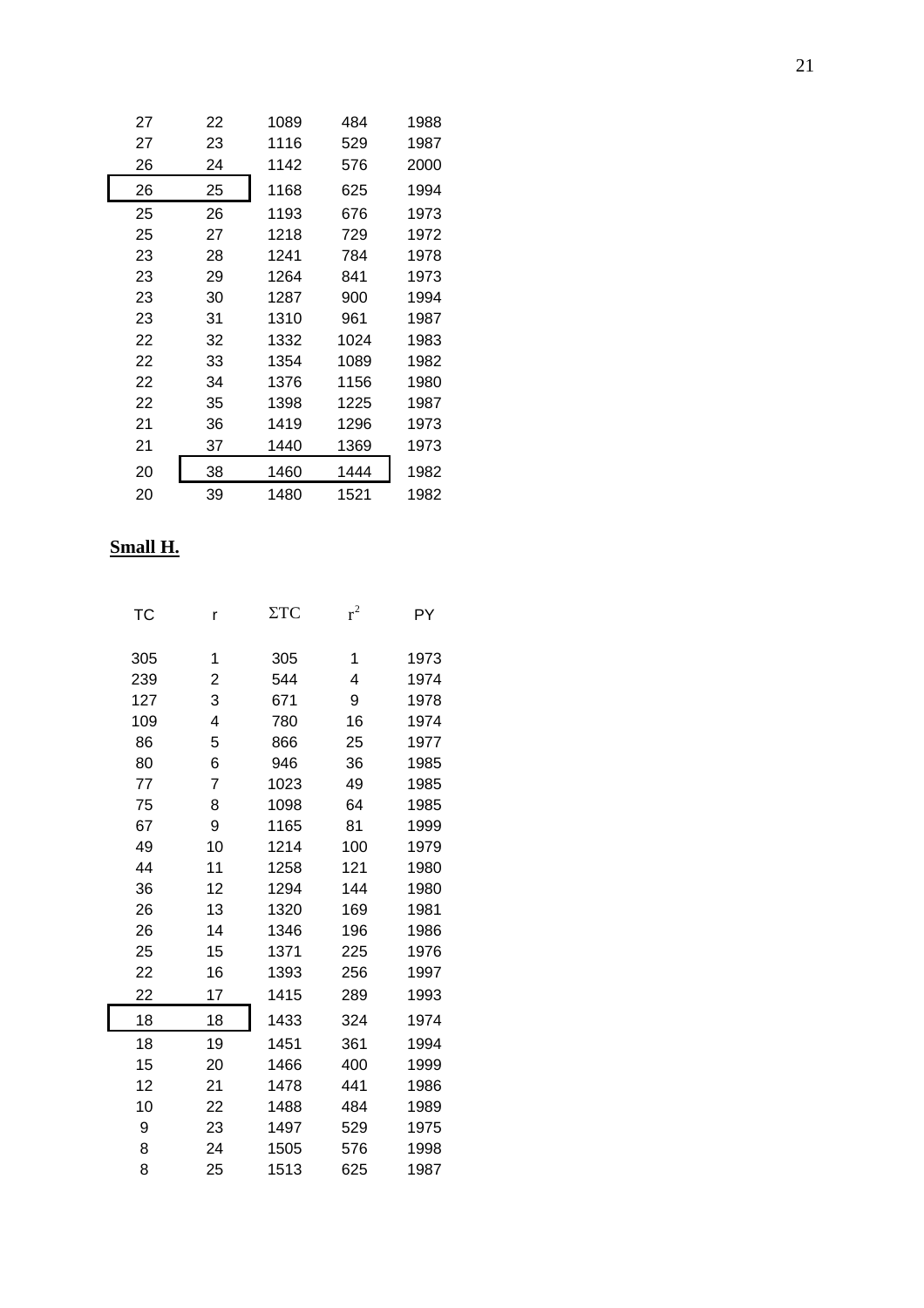| 27 | 22 | 1089 | 484  | 1988 |
|----|----|------|------|------|
| 27 | 23 | 1116 | 529  | 1987 |
| 26 | 24 | 1142 | 576  | 2000 |
| 26 | 25 | 1168 | 625  | 1994 |
| 25 | 26 | 1193 | 676  | 1973 |
| 25 | 27 | 1218 | 729  | 1972 |
| 23 | 28 | 1241 | 784  | 1978 |
| 23 | 29 | 1264 | 841  | 1973 |
| 23 | 30 | 1287 | 900  | 1994 |
| 23 | 31 | 1310 | 961  | 1987 |
| 22 | 32 | 1332 | 1024 | 1983 |
| 22 | 33 | 1354 | 1089 | 1982 |
| 22 | 34 | 1376 | 1156 | 1980 |
| 22 | 35 | 1398 | 1225 | 1987 |
| 21 | 36 | 1419 | 1296 | 1973 |
| 21 | 37 | 1440 | 1369 | 1973 |
| 20 | 38 | 1460 | 1444 | 1982 |
| 20 | 39 | 1480 | 1521 | 1982 |

## **Small H.**

| ТC  | r                       | $\Sigma$ TC | $r^2$ | PY   |
|-----|-------------------------|-------------|-------|------|
|     |                         |             |       |      |
| 305 | 1                       | 305         | 1     | 1973 |
| 239 | $\overline{\mathbf{c}}$ | 544         | 4     | 1974 |
| 127 | 3                       | 671         | 9     | 1978 |
| 109 | 4                       | 780         | 16    | 1974 |
| 86  | 5                       | 866         | 25    | 1977 |
| 80  | 6                       | 946         | 36    | 1985 |
| 77  | 7                       | 1023        | 49    | 1985 |
| 75  | 8                       | 1098        | 64    | 1985 |
| 67  | 9                       | 1165        | 81    | 1999 |
| 49  | 10                      | 1214        | 100   | 1979 |
| 44  | 11                      | 1258        | 121   | 1980 |
| 36  | 12                      | 1294        | 144   | 1980 |
| 26  | 13                      | 1320        | 169   | 1981 |
| 26  | 14                      | 1346        | 196   | 1986 |
| 25  | 15                      | 1371        | 225   | 1976 |
| 22  | 16                      | 1393        | 256   | 1997 |
| 22  | 17                      | 1415        | 289   | 1993 |
| 18  | 18                      | 1433        | 324   | 1974 |
| 18  | 19                      | 1451        | 361   | 1994 |
| 15  | 20                      | 1466        | 400   | 1999 |
| 12  | 21                      | 1478        | 441   | 1986 |
| 10  | 22                      | 1488        | 484   | 1989 |
| 9   | 23                      | 1497        | 529   | 1975 |
| 8   | 24                      | 1505        | 576   | 1998 |
| 8   | 25                      | 1513        | 625   | 1987 |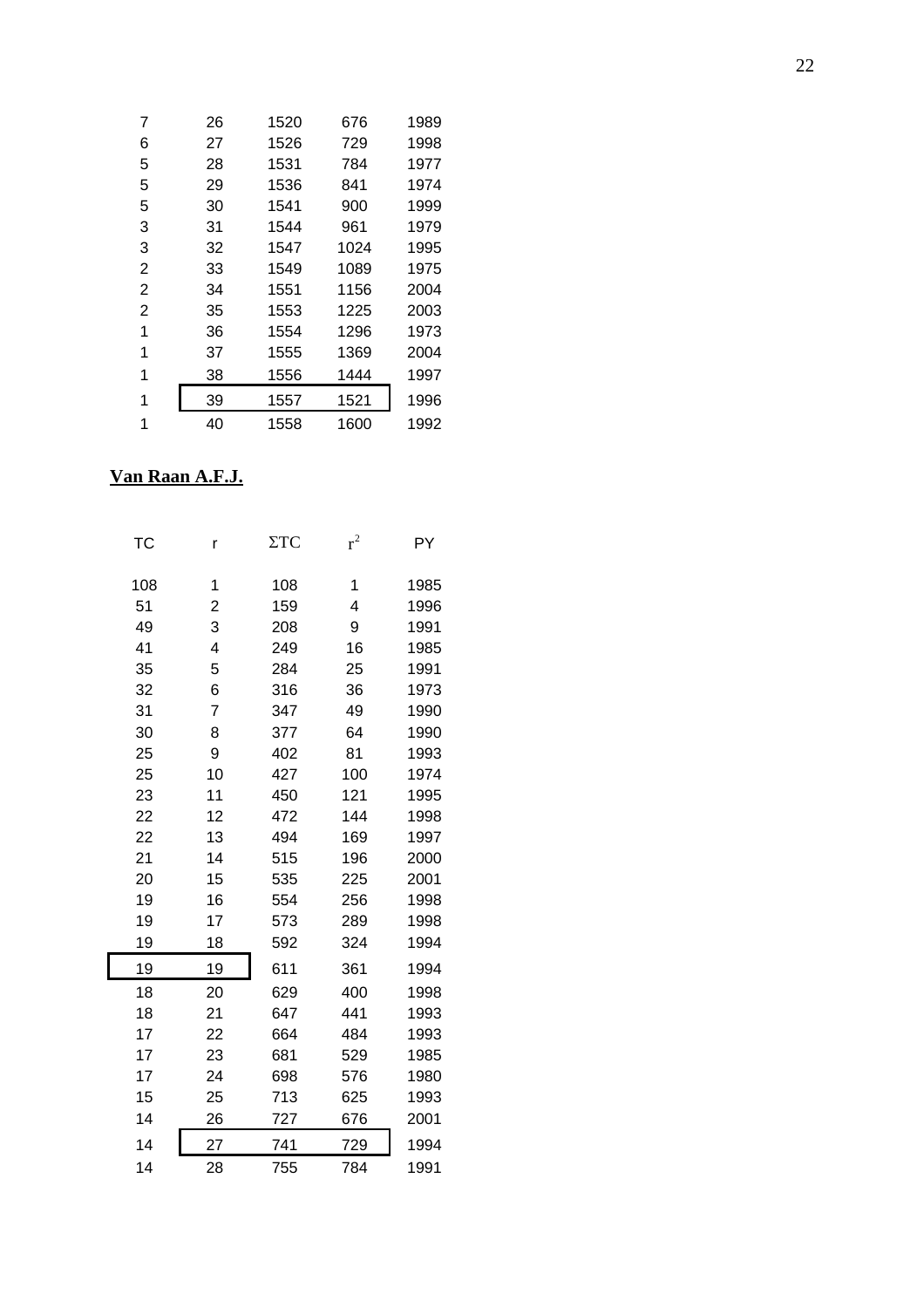| 7              | 26 | 1520 | 676  | 1989 |
|----------------|----|------|------|------|
| 6              | 27 | 1526 | 729  | 1998 |
| 5              | 28 | 1531 | 784  | 1977 |
| 5              | 29 | 1536 | 841  | 1974 |
| 5              | 30 | 1541 | 900  | 1999 |
| 3              | 31 | 1544 | 961  | 1979 |
| 3              | 32 | 1547 | 1024 | 1995 |
| $\overline{2}$ | 33 | 1549 | 1089 | 1975 |
| 2              | 34 | 1551 | 1156 | 2004 |
| $\overline{2}$ | 35 | 1553 | 1225 | 2003 |
| 1              | 36 | 1554 | 1296 | 1973 |
| 1              | 37 | 1555 | 1369 | 2004 |
| 1              | 38 | 1556 | 1444 | 1997 |
| 1              | 39 | 1557 | 1521 | 1996 |
| 1              | 40 | 1558 | 1600 | 1992 |

## **Van Raan A.F.J.**

| <b>TC</b> | r  | $\Sigma$ TC | $r^2$ | PY   |
|-----------|----|-------------|-------|------|
| 108       | 1  | 108         | 1     | 1985 |
| 51        | 2  | 159         | 4     | 1996 |
| 49        | 3  | 208         | 9     | 1991 |
| 41        | 4  | 249         | 16    | 1985 |
| 35        | 5  | 284         | 25    | 1991 |
| 32        | 6  | 316         | 36    | 1973 |
| 31        | 7  | 347         | 49    | 1990 |
| 30        | 8  | 377         | 64    | 1990 |
| 25        | 9  | 402         | 81    | 1993 |
| 25        | 10 | 427         | 100   | 1974 |
| 23        | 11 | 450         | 121   | 1995 |
| 22        | 12 | 472         | 144   | 1998 |
| 22        | 13 | 494         | 169   | 1997 |
| 21        | 14 | 515         | 196   | 2000 |
| 20        | 15 | 535         | 225   | 2001 |
| 19        | 16 | 554         | 256   | 1998 |
| 19        | 17 | 573         | 289   | 1998 |
| 19        | 18 | 592         | 324   | 1994 |
| 19        | 19 | 611         | 361   | 1994 |
| 18        | 20 | 629         | 400   | 1998 |
| 18        | 21 | 647         | 441   | 1993 |
| 17        | 22 | 664         | 484   | 1993 |
| 17        | 23 | 681         | 529   | 1985 |
| 17        | 24 | 698         | 576   | 1980 |
| 15        | 25 | 713         | 625   | 1993 |
| 14        | 26 | 727         | 676   | 2001 |
| 14        | 27 | 741         | 729   | 1994 |
| 14        | 28 | 755         | 784   | 1991 |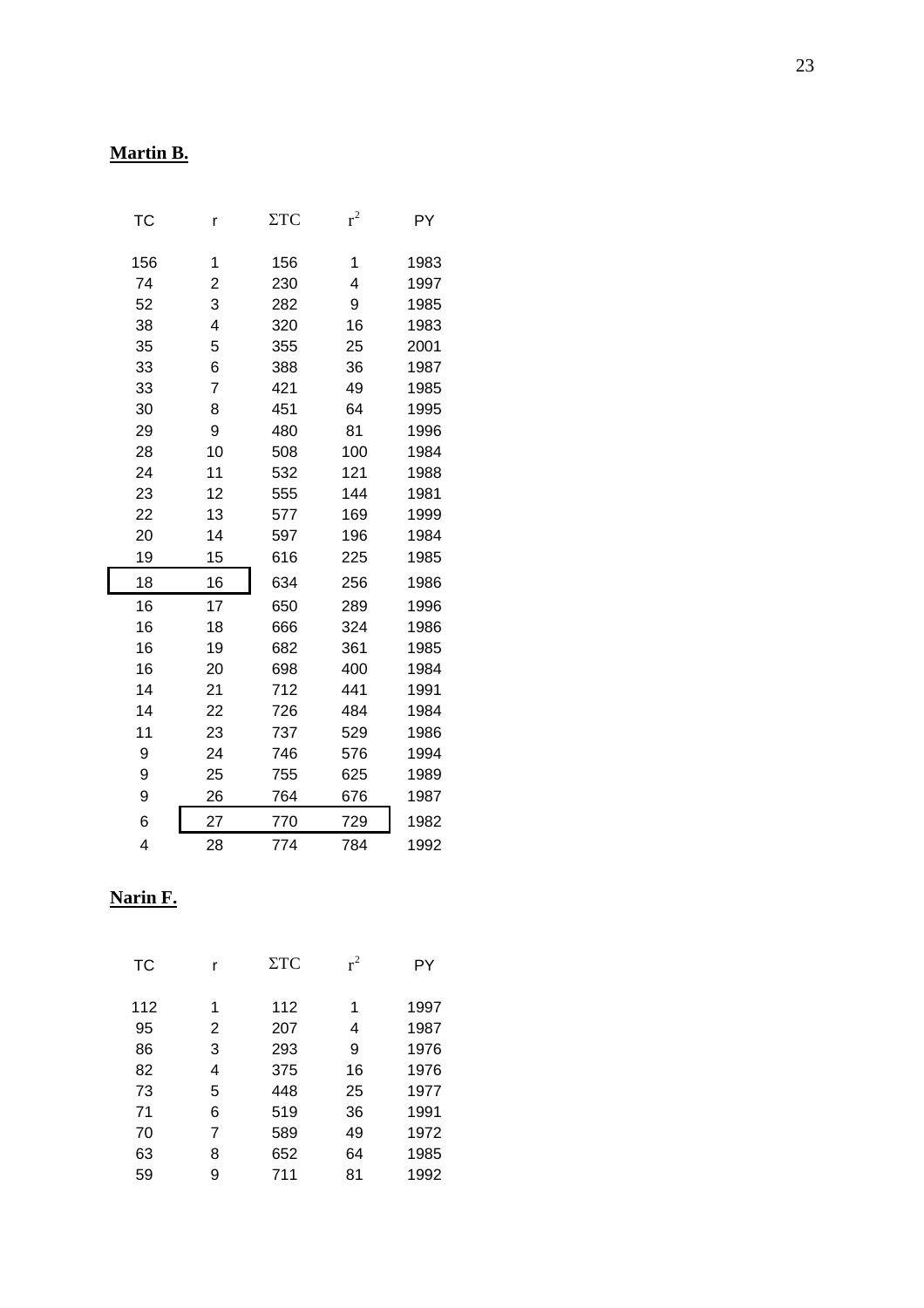## **Martin B.**

| ТC  | r  | $\Sigma$ TC | $r^2$ | PY   |
|-----|----|-------------|-------|------|
| 156 | 1  | 156         | 1     | 1983 |
| 74  | 2  | 230         | 4     | 1997 |
| 52  | 3  | 282         | 9     | 1985 |
| 38  | 4  | 320         | 16    | 1983 |
| 35  | 5  | 355         | 25    | 2001 |
| 33  | 6  | 388         | 36    | 1987 |
| 33  | 7  | 421         | 49    | 1985 |
| 30  | 8  | 451         | 64    | 1995 |
| 29  | 9  | 480         | 81    | 1996 |
| 28  | 10 | 508         | 100   | 1984 |
| 24  | 11 | 532         | 121   | 1988 |
| 23  | 12 | 555         | 144   | 1981 |
| 22  | 13 | 577         | 169   | 1999 |
| 20  | 14 | 597         | 196   | 1984 |
| 19  | 15 | 616         | 225   | 1985 |
| 18  | 16 | 634         | 256   | 1986 |
| 16  | 17 | 650         | 289   | 1996 |
| 16  | 18 | 666         | 324   | 1986 |
| 16  | 19 | 682         | 361   | 1985 |
| 16  | 20 | 698         | 400   | 1984 |
| 14  | 21 | 712         | 441   | 1991 |
| 14  | 22 | 726         | 484   | 1984 |
| 11  | 23 | 737         | 529   | 1986 |
| 9   | 24 | 746         | 576   | 1994 |
| 9   | 25 | 755         | 625   | 1989 |
| 9   | 26 | 764         | 676   | 1987 |
| 6   | 27 | 770         | 729   | 1982 |
| 4   | 28 | 774         | 784   | 1992 |

## **Narin F.**

| ТC  | r | $\Sigma T C$ | $r^2$ | PY   |
|-----|---|--------------|-------|------|
| 112 | 1 | 112          | 1     | 1997 |
| 95  | 2 | 207          | 4     | 1987 |
| 86  | 3 | 293          | 9     | 1976 |
| 82  | 4 | 375          | 16    | 1976 |
| 73  | 5 | 448          | 25    | 1977 |
| 71  | 6 | 519          | 36    | 1991 |
| 70  | 7 | 589          | 49    | 1972 |
| 63  | 8 | 652          | 64    | 1985 |
| 59  | 9 | 711          | 81    | 1992 |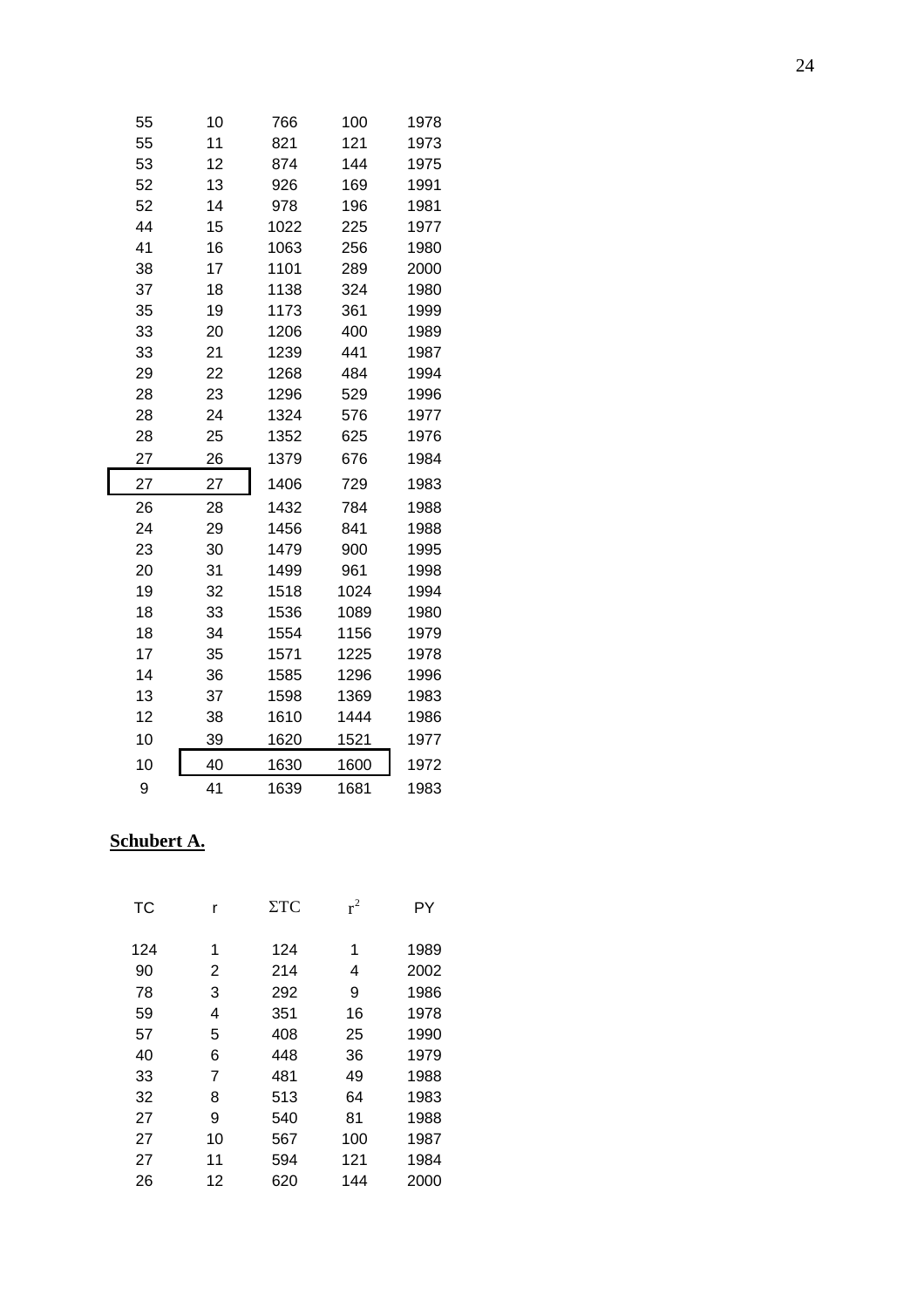| 55 | 10 | 766  | 100  | 1978 |
|----|----|------|------|------|
| 55 | 11 | 821  | 121  | 1973 |
| 53 | 12 | 874  | 144  | 1975 |
| 52 | 13 | 926  | 169  | 1991 |
| 52 | 14 | 978  | 196  | 1981 |
| 44 | 15 | 1022 | 225  | 1977 |
| 41 | 16 | 1063 | 256  | 1980 |
| 38 | 17 | 1101 | 289  | 2000 |
| 37 | 18 | 1138 | 324  | 1980 |
| 35 | 19 | 1173 | 361  | 1999 |
| 33 | 20 | 1206 | 400  | 1989 |
| 33 | 21 | 1239 | 441  | 1987 |
| 29 | 22 | 1268 | 484  | 1994 |
| 28 | 23 | 1296 | 529  | 1996 |
| 28 | 24 | 1324 | 576  | 1977 |
| 28 | 25 | 1352 | 625  | 1976 |
|    |    |      |      |      |
| 27 | 26 | 1379 | 676  | 1984 |
| 27 | 27 | 1406 | 729  | 1983 |
| 26 | 28 | 1432 | 784  | 1988 |
| 24 | 29 | 1456 | 841  | 1988 |
| 23 | 30 | 1479 | 900  | 1995 |
| 20 | 31 | 1499 | 961  | 1998 |
| 19 | 32 | 1518 | 1024 | 1994 |
| 18 | 33 | 1536 | 1089 | 1980 |
| 18 | 34 | 1554 | 1156 | 1979 |
| 17 | 35 | 1571 | 1225 | 1978 |
| 14 | 36 | 1585 | 1296 | 1996 |
| 13 | 37 | 1598 | 1369 | 1983 |
| 12 | 38 | 1610 | 1444 | 1986 |
| 10 | 39 | 1620 | 1521 | 1977 |
| 10 | 40 | 1630 | 1600 | 1972 |

## **Schubert A.**

| <b>TC</b> | r  | $\Sigma T C$ | $r^2$ | PY   |
|-----------|----|--------------|-------|------|
| 124       | 1  | 124          | 1     | 1989 |
| 90        | 2  | 214          | 4     | 2002 |
| 78        | 3  | 292          | 9     | 1986 |
| 59        | 4  | 351          | 16    | 1978 |
| 57        | 5  | 408          | 25    | 1990 |
| 40        | 6  | 448          | 36    | 1979 |
| 33        | 7  | 481          | 49    | 1988 |
| 32        | 8  | 513          | 64    | 1983 |
| 27        | 9  | 540          | 81    | 1988 |
| 27        | 10 | 567          | 100   | 1987 |
| 27        | 11 | 594          | 121   | 1984 |
| 26        | 12 | 620          | 144   | 2000 |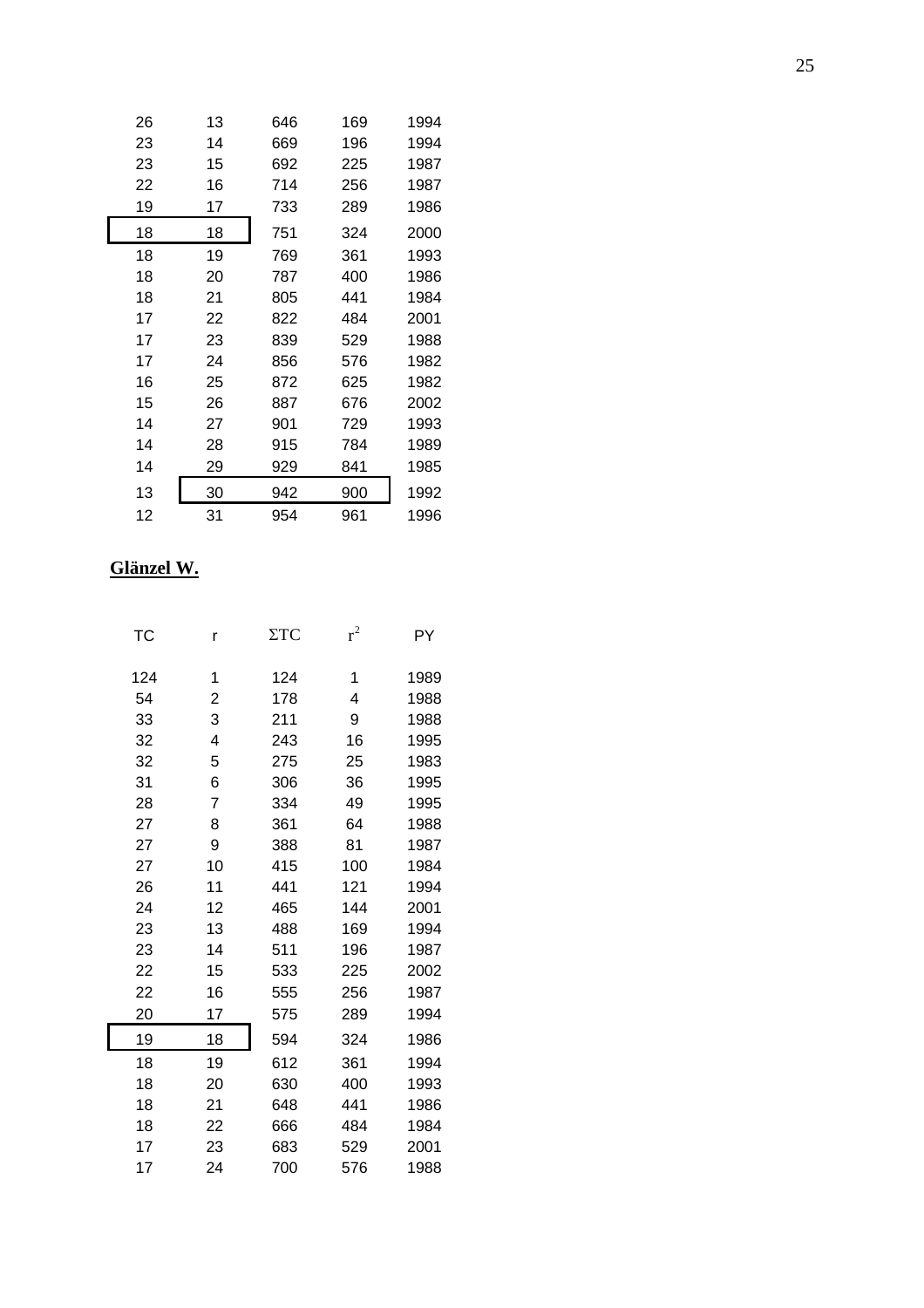| 26 | 13 | 646 | 169 | 1994 |
|----|----|-----|-----|------|
| 23 | 14 | 669 | 196 | 1994 |
| 23 | 15 | 692 | 225 | 1987 |
| 22 | 16 | 714 | 256 | 1987 |
| 19 | 17 | 733 | 289 | 1986 |
| 18 | 18 | 751 | 324 | 2000 |
| 18 | 19 | 769 | 361 | 1993 |
| 18 | 20 | 787 | 400 | 1986 |
| 18 | 21 | 805 | 441 | 1984 |
| 17 | 22 | 822 | 484 | 2001 |
| 17 | 23 | 839 | 529 | 1988 |
| 17 | 24 | 856 | 576 | 1982 |
| 16 | 25 | 872 | 625 | 1982 |
| 15 | 26 | 887 | 676 | 2002 |
| 14 | 27 | 901 | 729 | 1993 |
| 14 | 28 | 915 | 784 | 1989 |
| 14 | 29 | 929 | 841 | 1985 |
| 13 | 30 | 942 | 900 | 1992 |
| 12 | 31 | 954 | 961 | 1996 |

### **Glänzel W.**

| <b>TC</b> | r  | $\Sigma$ TC | $r^2$ | PY   |
|-----------|----|-------------|-------|------|
|           |    |             |       |      |
| 124       | 1  | 124         | 1     | 1989 |
| 54        | 2  | 178         | 4     | 1988 |
| 33        | 3  | 211         | 9     | 1988 |
| 32        | 4  | 243         | 16    | 1995 |
| 32        | 5  | 275         | 25    | 1983 |
| 31        | 6  | 306         | 36    | 1995 |
| 28        | 7  | 334         | 49    | 1995 |
| 27        | 8  | 361         | 64    | 1988 |
| 27        | 9  | 388         | 81    | 1987 |
| 27        | 10 | 415         | 100   | 1984 |
| 26        | 11 | 441         | 121   | 1994 |
| 24        | 12 | 465         | 144   | 2001 |
| 23        | 13 | 488         | 169   | 1994 |
| 23        | 14 | 511         | 196   | 1987 |
| 22        | 15 | 533         | 225   | 2002 |
| 22        | 16 | 555         | 256   | 1987 |
| 20        | 17 | 575         | 289   | 1994 |
| 19        | 18 | 594         | 324   | 1986 |
| 18        | 19 | 612         | 361   | 1994 |
| 18        | 20 | 630         | 400   | 1993 |
| 18        | 21 | 648         | 441   | 1986 |
| 18        | 22 | 666         | 484   | 1984 |
| 17        | 23 | 683         | 529   | 2001 |
| 17        | 24 | 700         | 576   | 1988 |
|           |    |             |       |      |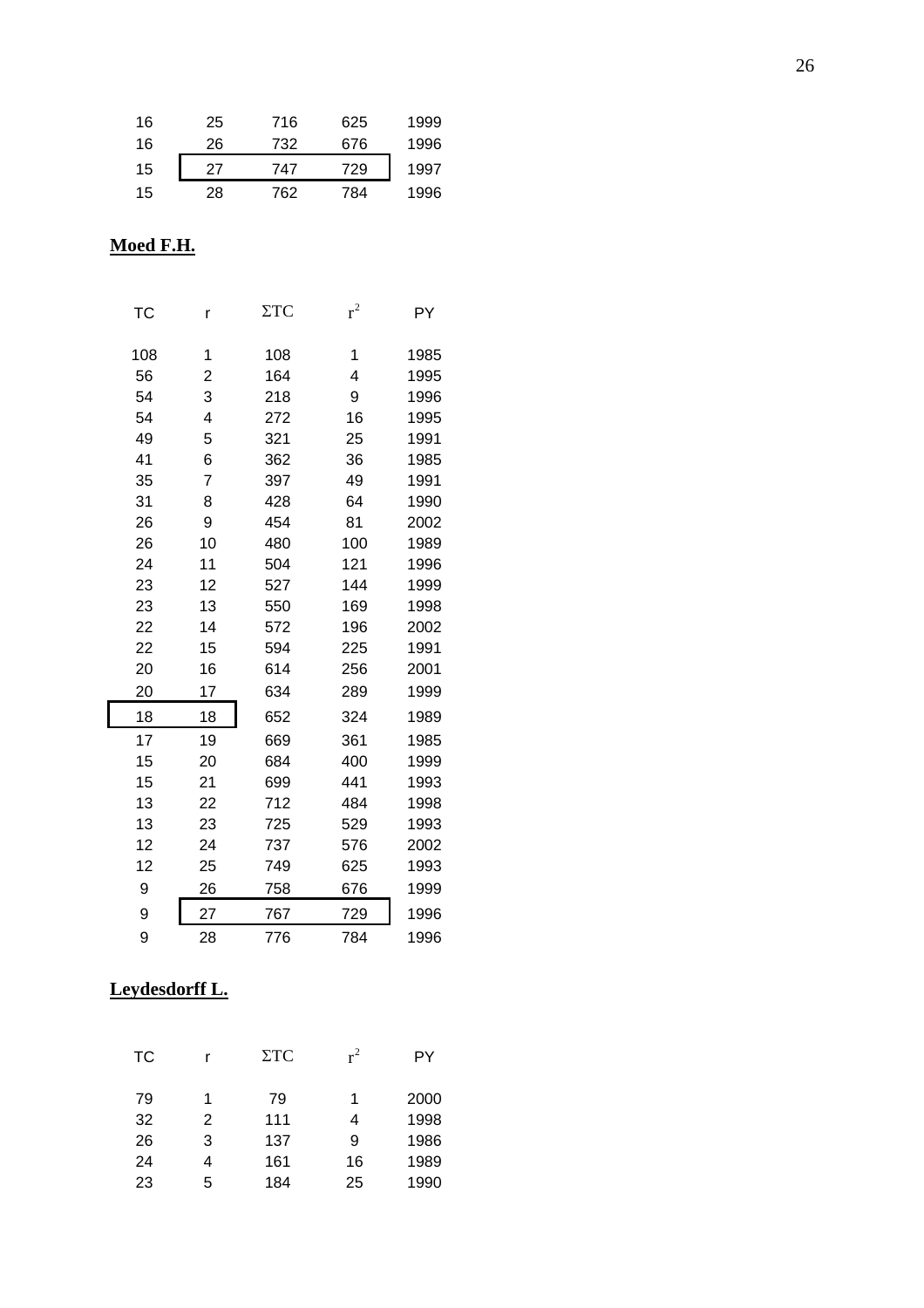| 16               | 25 | 716         | 625   | 1999 |
|------------------|----|-------------|-------|------|
| 16               | 26 | 732         | 676   | 1996 |
| 15               | 27 | 747         | 729   | 1997 |
| 15               | 28 | 762         | 784   | 1996 |
|                  |    |             |       |      |
| <b>Moed F.H.</b> |    |             |       |      |
|                  |    |             |       |      |
|                  |    |             |       |      |
| <b>TC</b>        | r  | $\Sigma TC$ | $r^2$ | PY   |
|                  |    |             |       |      |
| 108              | 1  | 108         | 1     | 1985 |
| 56               | 2  | 164         | 4     | 1995 |
| 54               | 3  | 218         | 9     | 1996 |
| 54               | 4  | 272         | 16    | 1995 |
| 49               | 5  | 321         | 25    | 1991 |
| 41               | 6  | 362         | 36    | 1985 |
| 35               | 7  | 397         | 49    | 1991 |
| 31               | 8  | 428         | 64    | 1990 |
| 26               | 9  | 454         | 81    | 2002 |
| 26               | 10 | 480         | 100   | 1989 |
| 24               | 11 | 504         | 121   | 1996 |
| 23               | 12 | 527         | 144   | 1999 |
| 23               | 13 | 550         | 169   | 1998 |
| 22               | 14 | 572         | 196   | 2002 |
| 22               | 15 | 594         | 225   | 1991 |
| 20               | 16 | 614         | 256   | 2001 |
| 20               | 17 | 634         | 289   | 1999 |
| 18               | 18 | 652         | 324   | 1989 |
| 17               | 19 | 669         | 361   | 1985 |
| 15               | 20 | 684         | 400   | 1999 |
| 15               | 21 | 699         | 441   | 1993 |
| 13               | 22 | 712         | 484   | 1998 |
| 13               | 23 | 725         | 529   | 1993 |
| 12               | 24 | 737         | 576   | 2002 |
| 12               | 25 | 749         | 625   | 1993 |
| 9                | 26 | 758         | 676   | 1999 |
| 9                | 27 | 767         | 729   | 1996 |
| 9                | 28 | 776         | 784   | 1996 |

## **Leydesdorff L.**

| ТC | r             | $\Sigma T C$ | $r^2$ | PY   |
|----|---------------|--------------|-------|------|
| 79 | 1             | 79           | 1     | 2000 |
| 32 | $\mathcal{P}$ | 111          | 4     | 1998 |
| 26 | 3             | 137          | 9     | 1986 |
| 24 | 4             | 161          | 16    | 1989 |
| 23 | 5             | 184          | 25    | 1990 |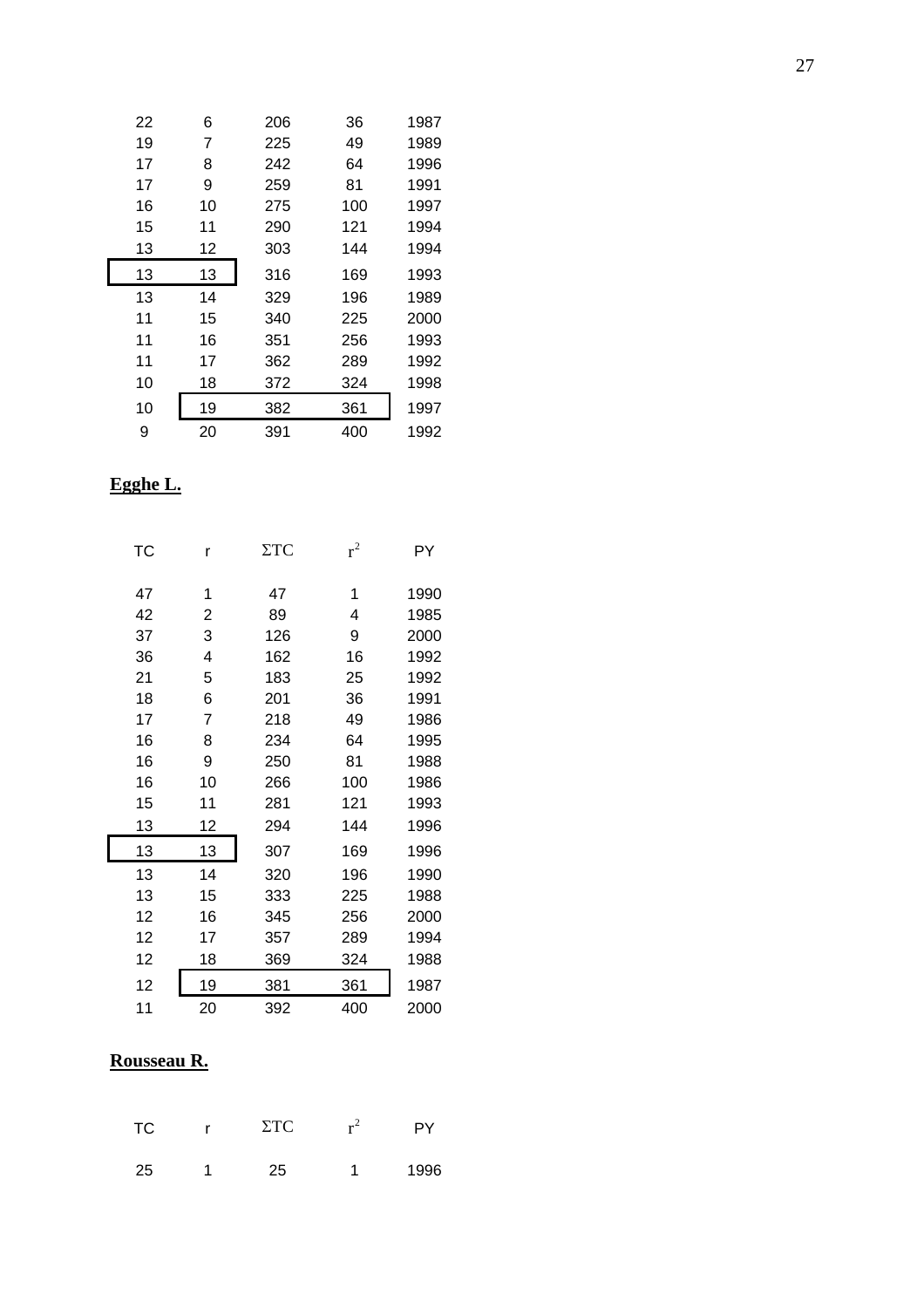| 22 | 6  | 206 | 36  | 1987 |
|----|----|-----|-----|------|
| 19 | 7  | 225 | 49  | 1989 |
| 17 | 8  | 242 | 64  | 1996 |
| 17 | 9  | 259 | 81  | 1991 |
| 16 | 10 | 275 | 100 | 1997 |
| 15 | 11 | 290 | 121 | 1994 |
| 13 | 12 | 303 | 144 | 1994 |
| 13 | 13 | 316 | 169 | 1993 |
| 13 | 14 | 329 | 196 | 1989 |
| 11 | 15 | 340 | 225 | 2000 |
| 11 | 16 | 351 | 256 | 1993 |
| 11 | 17 | 362 | 289 | 1992 |
| 10 | 18 | 372 | 324 | 1998 |
| 10 | 19 | 382 | 361 | 1997 |
| 9  | 20 | 391 | 400 | 1992 |

### **Egghe L.**

| <b>TC</b> | r  | $\Sigma TC$ | $r^2$ | PY   |
|-----------|----|-------------|-------|------|
| 47        | 1  | 47          | 1     | 1990 |
| 42        | 2  | 89          | 4     | 1985 |
| 37        | 3  | 126         | 9     | 2000 |
| 36        | 4  | 162         | 16    | 1992 |
| 21        | 5  | 183         | 25    | 1992 |
| 18        | 6  | 201         | 36    | 1991 |
| 17        | 7  | 218         | 49    | 1986 |
| 16        | 8  | 234         | 64    | 1995 |
| 16        | 9  | 250         | 81    | 1988 |
| 16        | 10 | 266         | 100   | 1986 |
| 15        | 11 | 281         | 121   | 1993 |
| 13        | 12 | 294         | 144   | 1996 |
| 13        | 13 | 307         | 169   | 1996 |
| 13        | 14 | 320         | 196   | 1990 |
| 13        | 15 | 333         | 225   | 1988 |
| 12        | 16 | 345         | 256   | 2000 |
| 12        | 17 | 357         | 289   | 1994 |
| 12        | 18 | 369         | 324   | 1988 |
| 12        | 19 | 381         | 361   | 1987 |
| 11        | 20 | 392         | 400   | 2000 |

### **Rousseau R.**

| <b>TC</b> | $\Sigma T C$ | ⊷∸ | PY   |
|-----------|--------------|----|------|
| -25       | 25           |    | 1996 |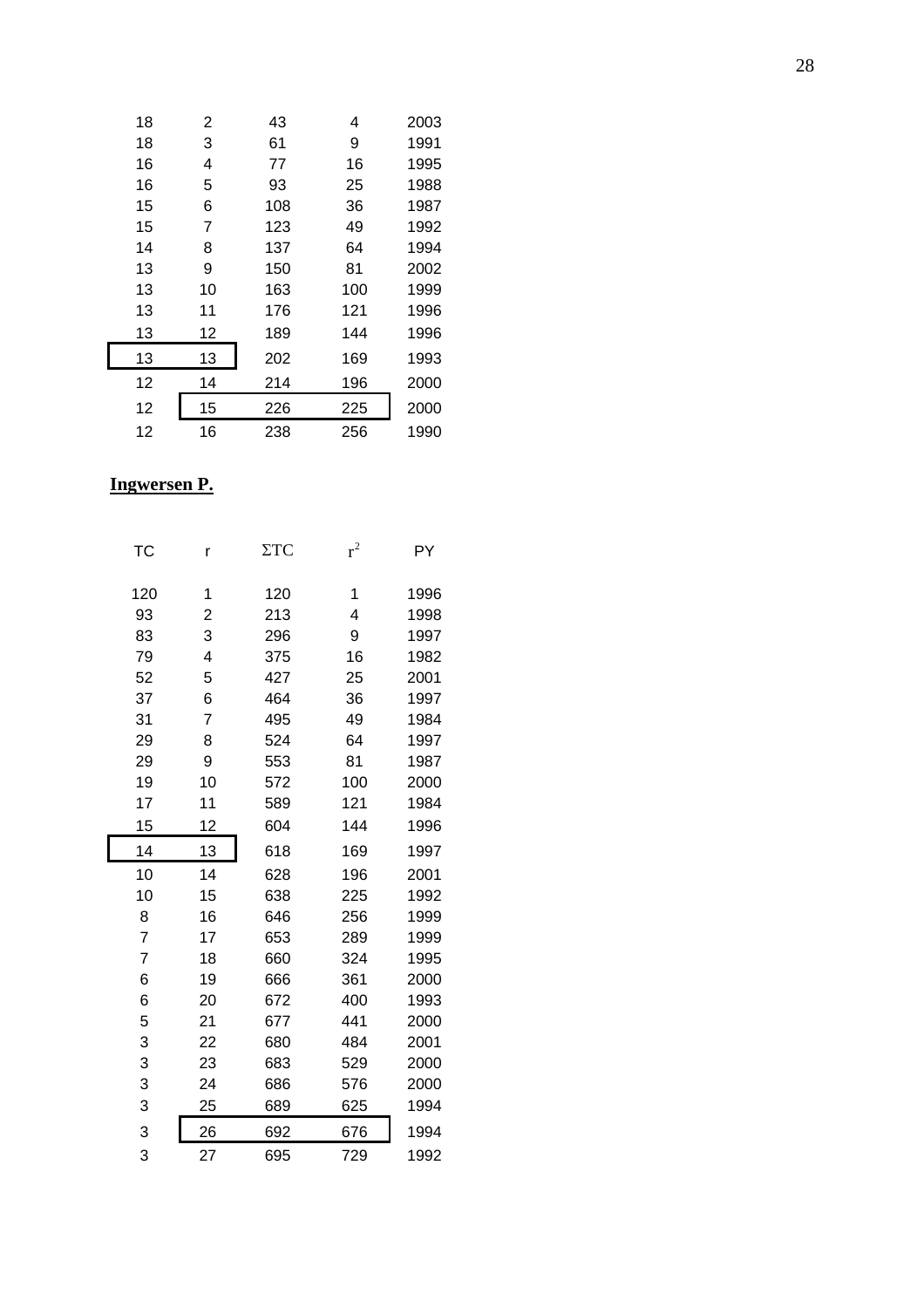| 18 | 2  | 43  | 4   | 2003 |
|----|----|-----|-----|------|
| 18 | 3  | 61  | 9   | 1991 |
| 16 | 4  | 77  | 16  | 1995 |
| 16 | 5  | 93  | 25  | 1988 |
| 15 | 6  | 108 | 36  | 1987 |
| 15 | 7  | 123 | 49  | 1992 |
| 14 | 8  | 137 | 64  | 1994 |
| 13 | 9  | 150 | 81  | 2002 |
| 13 | 10 | 163 | 100 | 1999 |
| 13 | 11 | 176 | 121 | 1996 |
| 13 | 12 | 189 | 144 | 1996 |
| 13 | 13 | 202 | 169 | 1993 |
| 12 | 14 | 214 | 196 | 2000 |
| 12 | 15 | 226 | 225 | 2000 |
| 12 | 16 | 238 | 256 | 1990 |

## **Ingwersen P.**

| <b>TC</b> | r              | $\Sigma TC$ | $r^2$ | PY   |
|-----------|----------------|-------------|-------|------|
| 120       | 1              | 120         | 1     | 1996 |
| 93        | 2              | 213         | 4     | 1998 |
| 83        | 3              | 296         | 9     | 1997 |
| 79        | 4              | 375         | 16    | 1982 |
| 52        | 5              | 427         | 25    | 2001 |
| 37        | 6              | 464         | 36    | 1997 |
| 31        | $\overline{7}$ | 495         | 49    | 1984 |
| 29        | 8              | 524         | 64    | 1997 |
| 29        | 9              | 553         | 81    | 1987 |
| 19        | 10             | 572         | 100   | 2000 |
| 17        | 11             | 589         | 121   | 1984 |
| 15        | 12             | 604         | 144   | 1996 |
| 14        | 13             | 618         | 169   | 1997 |
| 10        | 14             | 628         | 196   | 2001 |
| 10        | 15             | 638         | 225   | 1992 |
| 8         | 16             | 646         | 256   | 1999 |
| 7         | 17             | 653         | 289   | 1999 |
| 7         | 18             | 660         | 324   | 1995 |
| 6         | 19             | 666         | 361   | 2000 |
| 6         | 20             | 672         | 400   | 1993 |
| 5         | 21             | 677         | 441   | 2000 |
| 3         | 22             | 680         | 484   | 2001 |
| 3         | 23             | 683         | 529   | 2000 |
| 3         | 24             | 686         | 576   | 2000 |
| 3         | 25             | 689         | 625   | 1994 |
| 3         | 26             | 692         | 676   | 1994 |
| 3         | 27             | 695         | 729   | 1992 |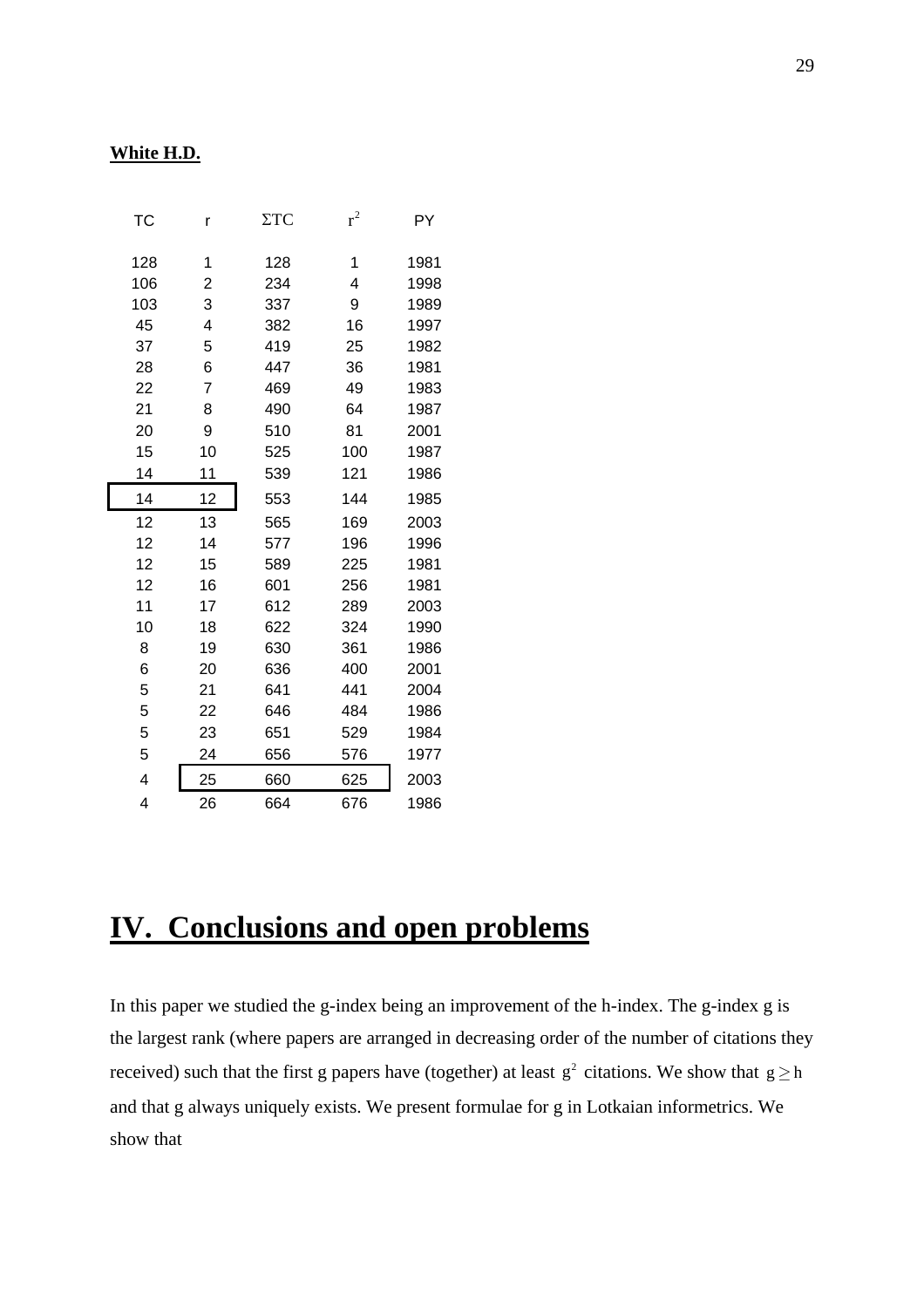#### **White H.D.**

| TC  | r  | $\Sigma$ TC | $\mathbf{r}^2$ | PY   |
|-----|----|-------------|----------------|------|
| 128 | 1  | 128         | 1              | 1981 |
| 106 | 2  | 234         | 4              | 1998 |
| 103 | 3  | 337         | 9              | 1989 |
| 45  | 4  | 382         | 16             | 1997 |
| 37  | 5  | 419         | 25             | 1982 |
| 28  | 6  | 447         | 36             | 1981 |
| 22  | 7  | 469         | 49             | 1983 |
| 21  | 8  | 490         | 64             | 1987 |
| 20  | 9  | 510         | 81             | 2001 |
| 15  | 10 | 525         | 100            | 1987 |
| 14  | 11 | 539         | 121            | 1986 |
| 14  | 12 | 553         | 144            | 1985 |
| 12  | 13 | 565         | 169            | 2003 |
| 12  | 14 | 577         | 196            | 1996 |
| 12  | 15 | 589         | 225            | 1981 |
| 12  | 16 | 601         | 256            | 1981 |
| 11  | 17 | 612         | 289            | 2003 |
| 10  | 18 | 622         | 324            | 1990 |
| 8   | 19 | 630         | 361            | 1986 |
| 6   | 20 | 636         | 400            | 2001 |
| 5   | 21 | 641         | 441            | 2004 |
| 5   | 22 | 646         | 484            | 1986 |
| 5   | 23 | 651         | 529            | 1984 |
| 5   | 24 | 656         | 576            | 1977 |
| 4   | 25 | 660         | 625            | 2003 |
| 4   | 26 | 664         | 676            | 1986 |

## **IV. Conclusions and open problems**

In this paper we studied the g-index being an improvement of the h-index. The g-index g is the largest rank (where papers are arranged in decreasing order of the number of citations they received) such that the first g papers have (together) at least  $g^2$  citations. We show that  $g \geq h$ and that g always uniquely exists. We present formulae for g in Lotkaian informetrics. We show that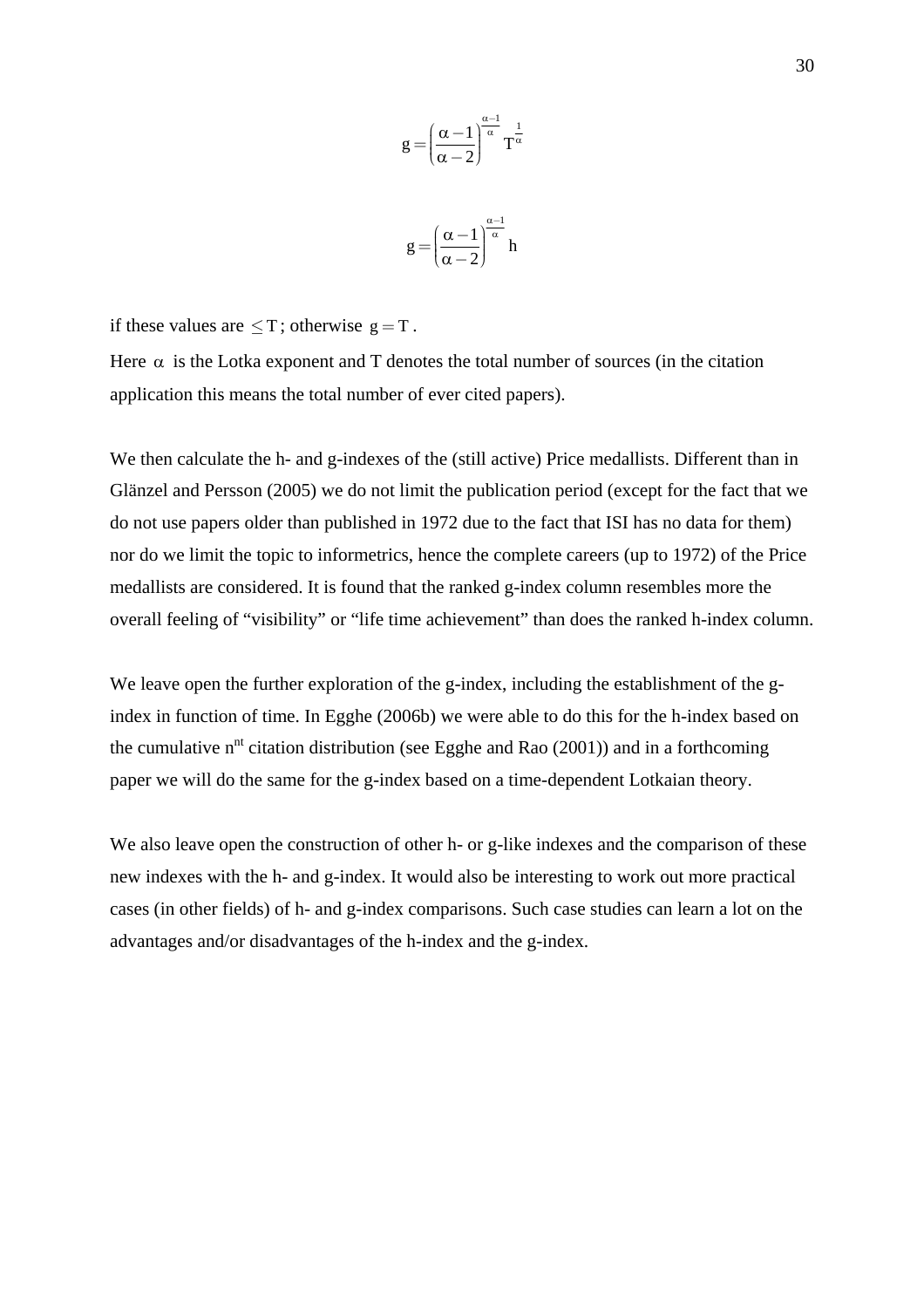$$
g = \left(\frac{\alpha - 1}{\alpha - 2}\right)^{\frac{\alpha - 1}{\alpha}} T^{\frac{1}{\alpha}}
$$

$$
g = \left(\frac{\alpha - 1}{\alpha - 2}\right)^{\frac{\alpha - 1}{\alpha}} h
$$

if these values are  $\leq$  T; otherwise  $g = T$ .

Here  $\alpha$  is the Lotka exponent and T denotes the total number of sources (in the citation application this means the total number of ever cited papers).

We then calculate the h- and g-indexes of the (still active) Price medallists. Different than in Glänzel and Persson (2005) we do not limit the publication period (except for the fact that we do not use papers older than published in 1972 due to the fact that ISI has no data for them) nor do we limit the topic to informetrics, hence the complete careers (up to 1972) of the Price medallists are considered. It is found that the ranked g-index column resembles more the overall feeling of "visibility" or "life time achievement" than does the ranked h-index column.

We leave open the further exploration of the g-index, including the establishment of the gindex in function of time. In Egghe (2006b) we were able to do this for the h-index based on the cumulative  $n<sup>nt</sup>$  citation distribution (see Egghe and Rao (2001)) and in a forthcoming paper we will do the same for the g-index based on a time-dependent Lotkaian theory.

We also leave open the construction of other h- or g-like indexes and the comparison of these new indexes with the h- and g-index. It would also be interesting to work out more practical cases (in other fields) of h- and g-index comparisons. Such case studies can learn a lot on the advantages and/or disadvantages of the h-index and the g-index.